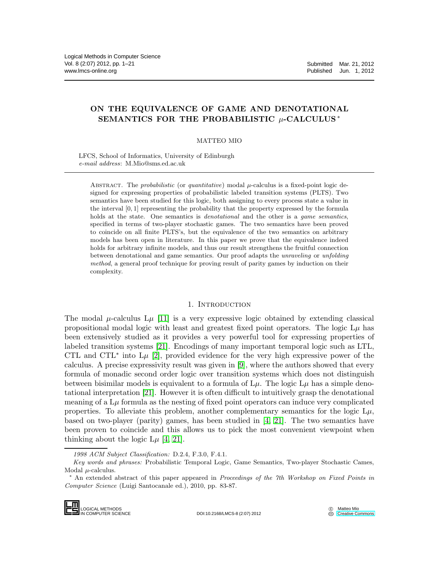# ON THE EQUIVALENCE OF GAME AND DENOTATIONAL SEMANTICS FOR THE PROBABILISTIC  $\mu$ -CALCULUS  $^*$

## MATTEO MIO

LFCS, School of Informatics, University of Edinburgh *e-mail address*: M.Mio@sms.ed.ac.uk

ABSTRACT. The *probabilistic* (or *quantitative*) modal  $\mu$ -calculus is a fixed-point logic designed for expressing properties of probabilistic labeled transition systems (PLTS). Two semantics have been studied for this logic, both assigning to every process state a value in the interval [0, 1] representing the probability that the property expressed by the formula holds at the state. One semantics is *denotational* and the other is a *game semantics*, specified in terms of two-player stochastic games. The two semantics have been proved to coincide on all finite PLTS's, but the equivalence of the two semantics on arbitrary models has been open in literature. In this paper we prove that the equivalence indeed holds for arbitrary infinite models, and thus our result strengthens the fruitful connection between denotational and game semantics. Our proof adapts the *unraveling* or *unfolding method*, a general proof technique for proving result of parity games by induction on their complexity.

### 1. INTRODUCTION

The modal  $\mu$ -calculus  $L\mu$  [\[11\]](#page-20-0) is a very expressive logic obtained by extending classical propositional modal logic with least and greatest fixed point operators. The logic  $L\mu$  has been extensively studied as it provides a very powerful tool for expressing properties of labeled transition systems [\[21\]](#page-20-1). Encodings of many important temporal logic such as LTL, CTL and CTL<sup> $*$ </sup> into L $\mu$  [\[2\]](#page-19-0), provided evidence for the very high expressive power of the calculus. A precise expressivity result was given in [\[9\]](#page-20-2), where the authors showed that every formula of monadic second order logic over transition systems which does not distinguish between bisimilar models is equivalent to a formula of  $L\mu$ . The logic  $L\mu$  has a simple denotational interpretation [\[21\]](#page-20-1). However it is often difficult to intuitively grasp the denotational meaning of a  $\mathcal{L}\mu$  formula as the nesting of fixed point operators can induce very complicated properties. To alleviate this problem, another complementary semantics for the logic  $L\mu$ , based on two-player (parity) games, has been studied in [\[4,](#page-20-3) [21\]](#page-20-1). The two semantics have been proven to coincide and this allows us to pick the most convenient viewpoint when thinking about the logic  $L\mu$  [\[4,](#page-20-3) [21\]](#page-20-1).

<sup>∗</sup> An extended abstract of this paper appeared in *Proceedings of the 7th Workshop on Fixed Points in Computer Science* (Luigi Santocanale ed.), 2010, pp. 83-87.



DOI:10.2168/LMCS-8 (2:07) 2012

Matteo Mio **CC** [Creative Commons](http://creativecommons.org/about/licenses)

*<sup>1998</sup> ACM Subject Classification:* D.2.4, F.3.0, F.4.1.

*Key words and phrases:* Probabilistic Temporal Logic, Game Semantics, Two-player Stochastic Cames, Modal  $\mu$ -calculus.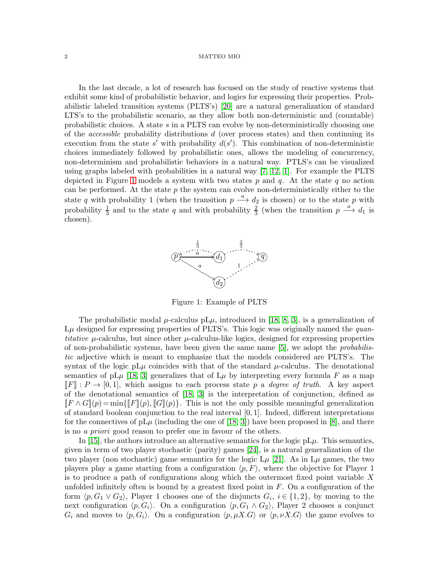In the last decade, a lot of research has focused on the study of reactive systems that exhibit some kind of probabilistic behavior, and logics for expressing their properties. Probabilistic labeled transition systems (PLTS's) [\[20\]](#page-20-4) are a natural generalization of standard LTS's to the probabilistic scenario, as they allow both non-deterministic and (countable) probabilistic choices. A state s in a PLTS can evolve by non-deterministically choosing one of the *accessible* probability distributions  $d$  (over process states) and then continuing its execution from the state s' with probability  $d(s')$ . This combination of non-deterministic choices immediately followed by probabilistic ones, allows the modeling of concurrency, non-determinism and probabilistic behaviors in a natural way. PTLS's can be visualized using graphs labeled with probabilities in a natural way [\[7,](#page-20-5) [12,](#page-20-6) [1\]](#page-19-1). For example the PLTS depicted in Figure [1](#page-1-0) models a system with two states p and q. At the state q no action can be performed. At the state  $p$  the system can evolve non-deterministically either to the state q with probability 1 (when the transition  $p \stackrel{a}{\longrightarrow} d_2$  is chosen) or to the state p with probability  $\frac{1}{3}$  and to the state q and with probability  $\frac{2}{3}$  (when the transition  $p \stackrel{a}{\longrightarrow} d_1$  is chosen).



<span id="page-1-0"></span>Figure 1: Example of PLTS

The probabilistic modal  $\mu$ -calculus pL $\mu$ , introduced in [\[18,](#page-20-7) [8,](#page-20-8) [3\]](#page-19-2), is a generalization of  $L\mu$  designed for expressing properties of PLTS's. This logic was originally named the quantitative  $\mu$ -calculus, but since other  $\mu$ -calculus-like logics, designed for expressing properties of non-probabilistic systems, have been given the same name [\[5\]](#page-20-9), we adopt the probabilistic adjective which is meant to emphasize that the models considered are PLTS's. The syntax of the logic pL $\mu$  coincides with that of the standard  $\mu$ -calculus. The denotational semantics of pL $\mu$  [\[18,](#page-20-7) [3\]](#page-19-2) generalizes that of L $\mu$  by interpreting every formula F as a map  $\llbracket F \rrbracket : P \to [0, 1],$  which assigns to each process state p a *degree of truth*. A key aspect of the denotational semantics of [\[18,](#page-20-7) [3\]](#page-19-2) is the interpretation of conjunction, defined as  $\llbracket F \wedge G \rrbracket(p) = \min\{ \llbracket F \rrbracket(p), \llbracket G \rrbracket(p) \}.$  This is not the only possible meaningful generalization of standard boolean conjunction to the real interval  $[0, 1]$ . Indeed, different interpretations for the connectives of  $pL\mu$  (including the one of [\[18,](#page-20-7) [3\]](#page-19-2)) have been proposed in [\[8\]](#page-20-8), and there is no a priori good reason to prefer one in favour of the others.

In [\[15\]](#page-20-10), the authors introduce an alternative semantics for the logic  $pL\mu$ . This semantics, given in term of two player stochastic (parity) games [\[24\]](#page-20-11), is a natural generalization of the two player (non stochastic) game semantics for the logic  $L\mu$  [\[21\]](#page-20-1). As in  $L\mu$  games, the two players play a game starting from a configuration  $\langle p, F \rangle$ , where the objective for Player 1 is to produce a path of configurations along which the outermost fixed point variable  $X$ unfolded infinitely often is bound by a greatest fixed point in  $F$ . On a configuration of the form  $\langle p, G_1 \vee G_2 \rangle$ , Player 1 chooses one of the disjuncts  $G_i$ ,  $i \in \{1, 2\}$ , by moving to the next configuration  $\langle p, G_i \rangle$ . On a configuration  $\langle p, G_1 \wedge G_2 \rangle$ , Player 2 chooses a conjunct  $G_i$  and moves to  $\langle p, G_i \rangle$ . On a configuration  $\langle p, \mu X.G \rangle$  or  $\langle p, \nu X.G \rangle$  the game evolves to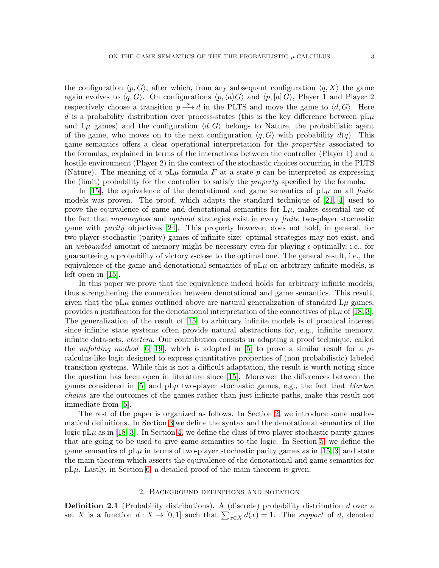the configuration  $\langle p, G \rangle$ , after which, from any subsequent configuration  $\langle q, X \rangle$  the game again evolves to  $\langle q, G \rangle$ . On configurations  $\langle p, \langle a \rangle G \rangle$  and  $\langle p, \langle a \rangle G \rangle$ , Player 1 and Player 2 respectively choose a transition  $p \stackrel{a}{\longrightarrow} d$  in the PLTS and move the game to  $\langle d, G \rangle$ . Here d is a probability distribution over process-states (this is the key difference between  $pL\mu$ and L $\mu$  games) and the configuration  $\langle d, G \rangle$  belongs to Nature, the probabilistic agent of the game, who moves on to the next configuration  $\langle q, G \rangle$  with probability  $d(q)$ . This game semantics offers a clear operational interpretation for the properties associated to the formulas, explained in terms of the interactions between the controller (Player 1) and a hostile environment (Player 2) in the context of the stochastic choices occurring in the PLTS (Nature). The meaning of a pL $\mu$  formula F at a state p can be interpreted as expressing the (limit) probability for the controller to satisfy the property specified by the formula.

In [\[15\]](#page-20-10), the equivalence of the denotational and game semantics of  $pL\mu$  on all *finite* models was proven. The proof, which adapts the standard technique of [\[21,](#page-20-1) [4\]](#page-20-3) used to prove the equivalence of game and denotational semantics for  $L\mu$ , makes essential use of the fact that memoryless and optimal strategies exist in every finite two-player stochastic game with parity objectives [\[24\]](#page-20-11). This property however, does not hold, in general, for two-player stochastic (parity) games of infinite size: optimal strategies may not exist, and an unbounded amount of memory might be necessary even for playing  $\epsilon$ -optimally, i.e., for guaranteeing a probability of victory  $\epsilon$ -close to the optimal one. The general result, i.e., the equivalence of the game and denotational semantics of  $pL\mu$  on arbitrary infinite models, is left open in [\[15\]](#page-20-10).

In this paper we prove that the equivalence indeed holds for arbitrary infinite models, thus strengthening the connection between denotational and game semantics. This result, given that the pL $\mu$  games outlined above are natural generalization of standard L $\mu$  games, provides a justification for the denotational interpretation of the connectives of  $pL\mu$  of [\[18,](#page-20-7) [3\]](#page-19-2). The generalization of the result of [\[15\]](#page-20-10) to arbitrary infinite models is of practical interest since infinite state systems often provide natural abstractions for, e.g., infinite memory, infinite data-sets, etcetera. Our contribution consists in adapting a proof technique, called the unfolding method [\[6,](#page-20-12) [19\]](#page-20-13), which is adopted in [\[5\]](#page-20-9) to prove a similar result for a  $\mu$ calculus-like logic designed to express quantitative properties of (non probabilistic) labeled transition systems. While this is not a difficult adaptation, the result is worth noting since the question has been open in literature since [\[15\]](#page-20-10). Moreover the differences between the games considered in [\[5\]](#page-20-9) and  $pL\mu$  two-player stochastic games, e.g., the fact that *Markov* chains are the outcomes of the games rather than just infinite paths, make this result not immediate from [\[5\]](#page-20-9).

The rest of the paper is organized as follows. In Section [2,](#page-2-0) we introduce some mathematical definitions. In Section [3](#page-3-0) we define the syntax and the denotational semantics of the logic pL $\mu$  as in [\[18,](#page-20-7) [3\]](#page-19-2). In Section [4,](#page-5-0) we define the class of two-player stochastic parity games that are going to be used to give game semantics to the logic. In Section [5,](#page-11-0) we define the game semantics of  $pL\mu$  in terms of two-player stochastic parity games as in [\[15,](#page-20-10) [3\]](#page-19-2) and state the main theorem which asserts the equivalence of the denotational and game semantics for  $pL\mu$ . Lastly, in Section [6,](#page-12-0) a detailed proof of the main theorem is given.

# 2. Background definitions and notation

<span id="page-2-0"></span>**Definition 2.1** (Probability distributions). A (discrete) probability distribution d over a set X is a function  $d: X \to [0,1]$  such that  $\sum_{x \in X} d(x) = 1$ . The support of d, denoted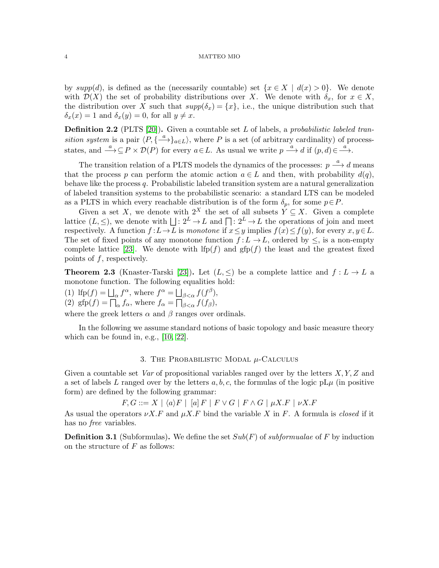by  $supp(d)$ , is defined as the (necessarily countable) set  $\{x \in X \mid d(x) > 0\}$ . We denote with  $\mathcal{D}(X)$  the set of probability distributions over X. We denote with  $\delta_x$ , for  $x \in X$ , the distribution over X such that  $supp(\delta_x) = \{x\}$ , i.e., the unique distribution such that  $\delta_x(x) = 1$  and  $\delta_x(y) = 0$ , for all  $y \neq x$ .

**Definition 2.2** (PLTS [\[20\]](#page-20-4)). Given a countable set  $L$  of labels, a probabilistic labeled transition system is a pair  $\langle P, \{\stackrel{a}{\longrightarrow}\}_{{a\in L}}\rangle$ , where P is a set (of arbitrary cardinality) of processstates, and  $\xrightarrow{a} \subseteq P \times \mathcal{D}(P)$  for every  $a \in L$ . As usual we write  $p \xrightarrow{a} d$  if  $(p, d) \in \xrightarrow{a}$ .

The transition relation of a PLTS models the dynamics of the processes:  $p \stackrel{a}{\longrightarrow} d$  means that the process p can perform the atomic action  $a \in L$  and then, with probability  $d(q)$ , behave like the process  $q$ . Probabilistic labeled transition system are a natural generalization of labeled transition systems to the probabilistic scenario: a standard LTS can be modeled as a PLTS in which every reachable distribution is of the form  $\delta_p$ , for some  $p \in P$ .

Given a set X, we denote with  $2^X$  the set of all subsets  $Y \subseteq X$ . Given a complete lattice  $(L, \leq)$ , we denote with  $\Box : 2^L \to L$  and  $\Box : 2^L \to L$  the operations of join and meet respectively. A function  $f: L\to\overline{L}$  is monotone if  $x\leq y$  implies  $f(x)\leq f(y)$ , for every  $x, y\in\overline{L}$ . The set of fixed points of any monotone function  $f: L \to L$ , ordered by  $\leq$ , is a non-empty complete lattice [\[23\]](#page-20-14). We denote with  $lfp(f)$  and  $gfp(f)$  the least and the greatest fixed points of  $f$ , respectively.

**Theorem 2.3** (Knaster-Tarski [\[23\]](#page-20-14)). Let  $(L, \leq)$  be a complete lattice and  $f: L \to L$  a monotone function. The following equalities hold:

(1) If  $p(f) = \bigsqcup_{\alpha} f^{\alpha}$ , where  $f^{\alpha} = \bigsqcup_{\beta < \alpha} f(f^{\beta})$ , (2) gfp(f) =  $\prod_{\alpha} f_{\alpha}$ , where  $f_{\alpha} = \prod_{\beta < \alpha}^{\beta} f(f_{\beta})$ , where the greek letters  $\alpha$  and  $\beta$  ranges over ordinals.

In the following we assume standard notions of basic topology and basic measure theory which can be found in, e.g., [\[10,](#page-20-15) [22\]](#page-20-16).

### 3. THE PROBABILISTIC MODAL  $\mu$ -Calculus

<span id="page-3-0"></span>Given a countable set Var of propositional variables ranged over by the letters  $X, Y, Z$  and a set of labels L ranged over by the letters  $a, b, c$ , the formulas of the logic pL $\mu$  (in positive form) are defined by the following grammar:

$$
F, G ::= X \mid \langle a \rangle F \mid [a] F \mid F \lor G \mid F \land G \mid \mu X.F \mid \nu X.F
$$

As usual the operators  $\nu X.F$  and  $\mu X.F$  bind the variable X in F. A formula is closed if it has no *free* variables.

**Definition 3.1** (Subformulas). We define the set  $Sub(F)$  of *subformualae* of F by induction on the structure of  $F$  as follows: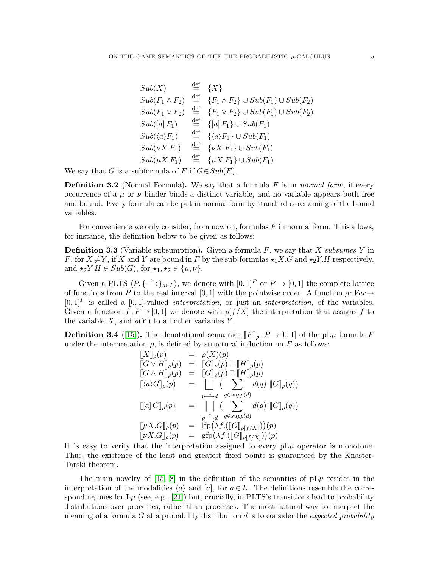$$
Sub(X) \quad \stackrel{\text{def}}{=} \{X\}
$$
\n
$$
Sub(F_1 \wedge F_2) \quad \stackrel{\text{def}}{=} \{F_1 \wedge F_2\} \cup Sub(F_1) \cup Sub(F_2)
$$
\n
$$
Sub(F_1 \vee F_2) \quad \stackrel{\text{def}}{=} \{F_1 \vee F_2\} \cup Sub(F_1) \cup Sub(F_2)
$$
\n
$$
Sub([a] F_1) \quad \stackrel{\text{def}}{=} \{[a] F_1\} \cup Sub(F_1)
$$
\n
$$
Sub(\langle a \rangle F_1) \quad \stackrel{\text{def}}{=} \{a \rangle F_1\} \cup Sub(F_1)
$$
\n
$$
Sub(\nu X.F_1) \quad \stackrel{\text{def}}{=} \{ \nu X.F_1 \} \cup Sub(F_1)
$$
\n
$$
Sub(\mu X.F_1) \quad \stackrel{\text{def}}{=} \{ \mu X.F_1 \} \cup Sub(F_1)
$$

We say that G is a subformula of F if  $G \in Sub(F)$ .

**Definition 3.2** (Normal Formula). We say that a formula  $F$  is in normal form, if every occurrence of a  $\mu$  or  $\nu$  binder binds a distinct variable, and no variable appears both free and bound. Every formula can be put in normal form by standard  $\alpha$ -renaming of the bound variables.

For convenience we only consider, from now on, formulas  $F$  in normal form. This allows, for instance, the definition below to be given as follows:

**Definition 3.3** (Variable subsumption). Given a formula  $F$ , we say that  $X$  subsumes  $Y$  in F, for  $X \neq Y$ , if X and Y are bound in F by the sub-formulas  $\star_1 X.G$  and  $\star_2 Y.H$  respectively, and  $\star_2 Y.H \in Sub(G)$ , for  $\star_1, \star_2 \in {\mu, \nu}$ .

Given a PLTS  $\langle P, \{\stackrel{a}{\longrightarrow}\}_{{a\in L}}\rangle$ , we denote with  $[0,1]^P$  or  $P\to [0,1]$  the complete lattice of functions from P to the real interval [0, 1] with the pointwise order. A function  $\rho:Var\rightarrow$  $[0,1]^P$  is called a  $[0,1]$ -valued *interpretation*, or just an *interpretation*, of the variables. Given a function  $f: P \to [0, 1]$  we denote with  $\rho[f/X]$  the interpretation that assigns f to the variable X, and  $\rho(Y)$  to all other variables Y.

<span id="page-4-0"></span>**Definition 3.4** ([\[15\]](#page-20-10)). The denotational semantics  $\llbracket F \rrbracket_{\rho}: P \to [0, 1]$  of the pL $\mu$  formula F under the interpretation  $\rho$ , is defined by structural induction on F as follows:

$$
\begin{array}{rcl}\n\llbracket X \rrbracket_{\rho}(p) & = & \rho(X)(p) \\
\llbracket G \vee H \rrbracket_{\rho}(p) & = & \llbracket G \rrbracket_{\rho}(p) \sqcup \llbracket H \rrbracket_{\rho}(p) \\
\llbracket G \wedge H \rrbracket_{\rho}(p) & = & \llbracket G \rrbracket_{\rho}(p) \sqcap \llbracket H \rrbracket_{\rho}(p) \\
\llbracket \langle a \rangle G \rrbracket_{\rho}(p) & = & \llbracket \left( \sum_{p \stackrel{-a}{\longrightarrow} d} d(q) \cdot \llbracket G \rrbracket_{\rho}(q) \right) \\
\llbracket [a] G \rrbracket_{\rho}(p) & = & \prod_{p \stackrel{-a}{\longrightarrow} d} \left( \sum_{q \in supp(d)} d(q) \cdot \llbracket G \rrbracket_{\rho}(q) \right) \\
\llbracket \mu X . G \rrbracket_{\rho}(p) & = & \llbracket \text{fp} \big( \lambda f. (\llbracket G \rrbracket_{\rho[f/X]} \big) \big) (p) \\
\llbracket \nu X . G \rrbracket_{\rho}(p) & = & \llbracket \text{fp} \big( \lambda f. (\llbracket G \rrbracket_{\rho[f/X]} \big) \big) (p)\n\end{array}
$$

It is easy to verify that the interpretation assigned to every  $pL\mu$  operator is monotone. Thus, the existence of the least and greatest fixed points is guaranteed by the Knaster-Tarski theorem.

The main novelty of [\[15,](#page-20-10) [8\]](#page-20-8) in the definition of the semantics of  $pL\mu$  resides in the interpretation of the modalities  $\langle a \rangle$  and  $[a]$ , for  $a \in L$ . The definitions resemble the corresponding ones for  $L\mu$  (see, e.g., [\[21\]](#page-20-1)) but, crucially, in PLTS's transitions lead to probability distributions over processes, rather than processes. The most natural way to interpret the meaning of a formula  $G$  at a probability distribution  $d$  is to consider the *expected probability*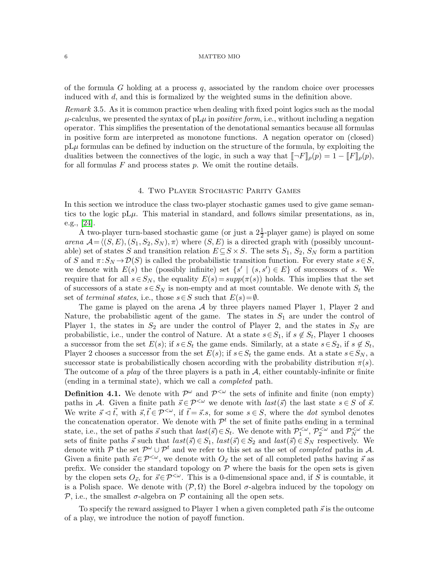of the formula G holding at a process  $q$ , associated by the random choice over processes induced with d, and this is formalized by the weighted sums in the definition above.

Remark 3.5. As it is common practice when dealing with fixed point logics such as the modal  $\mu$ -calculus, we presented the syntax of pL $\mu$  in *positive form*, i.e., without including a negation operator. This simplifies the presentation of the denotational semantics because all formulas in positive form are interpreted as monotone functions. A negation operator on (closed)  $pL\mu$  formulas can be defined by induction on the structure of the formula, by exploiting the dualities between the connectives of the logic, in such a way that  $\llbracket \neg F \rrbracket_{\rho}(p) = 1 - \llbracket F \rrbracket_{\rho}(p)$ , for all formulas  $F$  and process states  $p$ . We omit the routine details.

## 4. Two Player Stochastic Parity Games

<span id="page-5-0"></span>In this section we introduce the class two-player stochastic games used to give game semantics to the logic  $pL\mu$ . This material in standard, and follows similar presentations, as in, e.g., [\[24\]](#page-20-11).

A two-player turn-based stochastic game (or just a  $2\frac{1}{2}$ -player game) is played on some arena  $A = \langle (S, E), (S_1, S_2, S_N), \pi \rangle$  where  $(S, E)$  is a directed graph with (possibly uncountable) set of states S and transition relation  $E \subseteq S \times S$ . The sets  $S_1, S_2, S_N$  form a partition of S and  $\pi: S_N \to \mathcal{D}(S)$  is called the probabilistic transition function. For every state  $s \in S$ , we denote with  $E(s)$  the (possibly infinite) set  $\{s' | (s, s') \in E\}$  of successors of s. We require that for all  $s \in S_N$ , the equality  $E(s) = supp(\pi(s))$  holds. This implies that the set of successors of a state  $s \in S_N$  is non-empty and at most countable. We denote with  $S_t$  the set of terminal states, i.e., those  $s \in S$  such that  $E(s) = \emptyset$ .

The game is played on the arena  $\mathcal A$  by three players named Player 1, Player 2 and Nature, the probabilistic agent of the game. The states in  $S_1$  are under the control of Player 1, the states in  $S_2$  are under the control of Player 2, and the states in  $S_N$  are probabilistic, i.e., under the control of Nature. At a state  $s \in S_1$ , if  $s \notin S_t$ , Player 1 chooses a successor from the set  $E(s)$ ; if  $s \in S_t$  the game ends. Similarly, at a state  $s \in S_2$ , if  $s \notin S_t$ , Player 2 chooses a successor from the set  $E(s)$ ; if  $s \in S_t$  the game ends. At a state  $s \in S_N$ , a successor state is probabilistically chosen according with the probability distribution  $\pi(s)$ . The outcome of a *play* of the three players is a path in  $A$ , either countably-infinite or finite (ending in a terminal state), which we call a completed path.

**Definition 4.1.** We denote with  $\mathcal{P}^{\omega}$  and  $\mathcal{P}^{\langle \omega \rangle}$  the sets of infinite and finite (non empty) paths in A. Given a finite path  $\vec{s} \in \mathcal{P}^{\leq \omega}$  we denote with  $last(\vec{s})$  the last state  $s \in S$  of  $\vec{s}$ . We write  $\vec{s} \leq \vec{t}$ , with  $\vec{s}, \vec{t} \in \mathcal{P}^{\leq \omega}$ , if  $\vec{t} = \vec{s}.s$ , for some  $s \in S$ , where the *dot* symbol denotes the concatenation operator. We denote with  $\mathcal{P}^t$  the set of finite paths ending in a terminal state, i.e., the set of paths  $\vec{s}$  such that  $last(\vec{s}) \in S_t$ . We denote with  $\mathcal{P}_1^{\lt \omega}, \mathcal{P}_2^{\lt \omega}$  and  $\mathcal{P}_N^{\lt \omega}$  the sets of finite paths  $\vec{s}$  such that  $last(\vec{s}) \in S_1$ ,  $last(\vec{s}) \in S_2$  and  $last(\vec{s}) \in S_N$  respectively. We denote with P the set  $\mathcal{P}^{\omega} \cup \mathcal{P}^t$  and we refer to this set as the set of *completed* paths in A. Given a finite path  $\vec{s} \in \mathcal{P}^{\leq \omega}$ , we denote with  $O_{\vec{s}}$  the set of all completed paths having  $\vec{s}$  as prefix. We consider the standard topology on  $P$  where the basis for the open sets is given by the clopen sets  $O_{\vec{s}}$ , for  $\vec{s} \in \mathcal{P}^{\leq \omega}$ . This is a 0-dimensional space and, if S is countable, it is a Polish space. We denote with  $(\mathcal{P}, \Omega)$  the Borel  $\sigma$ -algebra induced by the topology on P, i.e., the smallest  $\sigma$ -algebra on P containing all the open sets.

To specify the reward assigned to Player 1 when a given completed path  $\vec{s}$  is the outcome of a play, we introduce the notion of payoff function.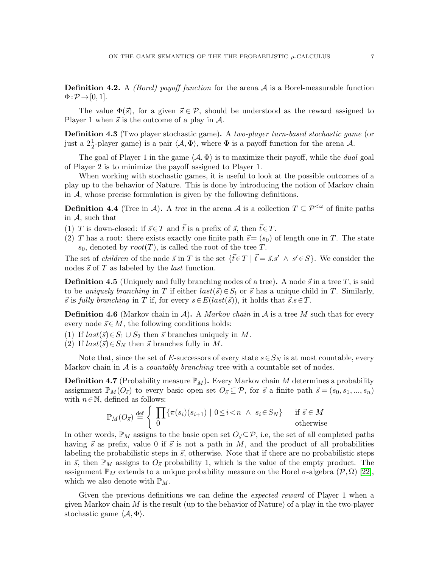**Definition 4.2.** A *(Borel)* payoff function for the arena  $A$  is a Borel-measurable function  $\Phi: \mathcal{P} \rightarrow [0, 1].$ 

The value  $\Phi(\vec{s})$ , for a given  $\vec{s} \in \mathcal{P}$ , should be understood as the reward assigned to Player 1 when  $\vec{s}$  is the outcome of a play in  $\mathcal{A}$ .

Definition 4.3 (Two player stochastic game). A two-player turn-based stochastic game (or just a  $2\frac{1}{2}$ -player game) is a pair  $\langle A, \Phi \rangle$ , where  $\Phi$  is a payoff function for the arena A.

The goal of Player 1 in the game  $\langle A, \Phi \rangle$  is to maximize their payoff, while the *dual* goal of Player 2 is to minimize the payoff assigned to Player 1.

When working with stochastic games, it is useful to look at the possible outcomes of a play up to the behavior of Nature. This is done by introducing the notion of Markov chain in  $A$ , whose precise formulation is given by the following definitions.

**Definition 4.4** (Tree in A). A tree in the arena A is a collection  $T \subseteq \mathcal{P}^{\leq \omega}$  of finite paths in A, such that

(1) T is down-closed: if  $\vec{s} \in T$  and  $\vec{t}$  is a prefix of  $\vec{s}$ , then  $\vec{t} \in T$ .

(2) T has a root: there exists exactly one finite path  $\vec{s} = (s_0)$  of length one in T. The state  $s_0$ , denoted by  $root(T)$ , is called the root of the tree T.

The set of *children* of the node  $\vec{s}$  in T is the set  $\{\vec{t} \in T \mid \vec{t} = \vec{s}.s' \land s' \in S\}$ . We consider the nodes  $\vec{s}$  of T as labeled by the *last* function.

**Definition 4.5** (Uniquely and fully branching nodes of a tree). A node  $\vec{s}$  in a tree T, is said to be uniquely branching in T if either  $last(\vec{s}) \in S_t$  or  $\vec{s}$  has a unique child in T. Similarly,  $\vec{s}$  is fully branching in T if, for every  $s \in E(last(\vec{s}))$ , it holds that  $\vec{s}.s \in T$ .

**Definition 4.6** (Markov chain in A). A *Markov chain* in A is a tree M such that for every every node  $\vec{s} \in M$ , the following conditions holds:

(1) If  $last(\vec{s}) \in S_1 \cup S_2$  then  $\vec{s}$  branches uniquely in M.

(2) If  $last(\vec{s}) \in S_N$  then  $\vec{s}$  branches fully in M.

Note that, since the set of E-successors of every state  $s \in S_N$  is at most countable, every Markov chain in  $A$  is a *countably branching* tree with a countable set of nodes.

<span id="page-6-0"></span>**Definition 4.7** (Probability measure  $\mathbb{P}_M$ ). Every Markov chain M determines a probability assignment  $\mathbb{P}_M(O_{\vec{s}})$  to every basic open set  $O_{\vec{s}} \subseteq \mathcal{P}$ , for  $\vec{s}$  a finite path  $\vec{s} = (s_0, s_1, ..., s_n)$ with  $n \in \mathbb{N}$ , defined as follows:

$$
\mathbb{P}_M(O_{\vec{s}}) \stackrel{\text{def}}{=} \left\{ \begin{array}{ll} \prod\{\pi(s_i)(s_{i+1}) \mid 0 \le i < n \land s_i \in S_N\} & \text{if } \vec{s} \in M \\ 0 & \text{otherwise} \end{array} \right.
$$

In other words,  $\mathbb{P}_M$  assigns to the basic open set  $O_{\vec{s}} \subseteq \mathcal{P}$ , i.e, the set of all completed paths having  $\vec{s}$  as prefix, value 0 if  $\vec{s}$  is not a path in M, and the product of all probabilities labeling the probabilistic steps in  $\vec{s}$ , otherwise. Note that if there are no probabilistic steps in  $\vec{s}$ , then  $\mathbb{P}_M$  assigns to  $O_{\vec{s}}$  probability 1, which is the value of the empty product. The assignment  $\mathbb{P}_M$  extends to a unique probability measure on the Borel  $\sigma$ -algebra  $(\mathcal{P}, \Omega)$  [\[22\]](#page-20-16), which we also denote with  $\mathbb{P}_M$ .

Given the previous definitions we can define the *expected reward* of Player 1 when a given Markov chain  $M$  is the result (up to the behavior of Nature) of a play in the two-player stochastic game  $\langle A, \Phi \rangle$ .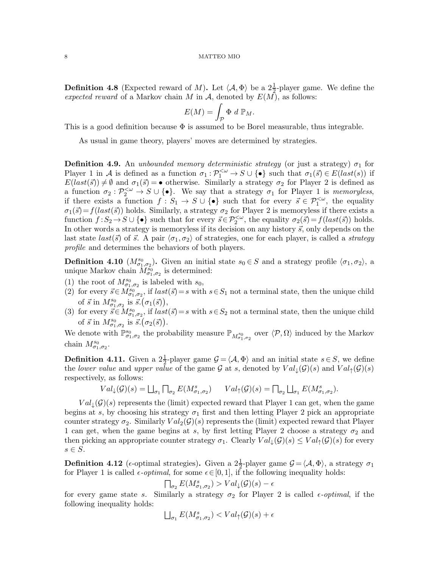**Definition 4.8** (Expected reward of M). Let  $\langle A, \Phi \rangle$  be a  $2\frac{1}{2}$ -player game. We define the expected reward of a Markov chain M in A, denoted by  $E(M)$ , as follows:

$$
E(M) = \int_{\mathcal{P}} \Phi \, d \, \mathbb{P}_M.
$$

This is a good definition because  $\Phi$  is assumed to be Borel measurable, thus integrable.

As usual in game theory, players' moves are determined by strategies.

**Definition 4.9.** An unbounded memory deterministic strategy (or just a strategy)  $\sigma_1$  for Player 1 in A is defined as a function  $\sigma_1 : \mathcal{P}_1^{\leq \omega} \to S \cup \{\bullet\}$  such that  $\sigma_1(\vec{s}) \in E(last(s))$  if  $E(last(\vec{s})) \neq \emptyset$  and  $\sigma_1(\vec{s}) = \bullet$  otherwise. Similarly a strategy  $\sigma_2$  for Player 2 is defined as a function  $\sigma_2 : \mathcal{P}_2^{\leq \omega} \to S \cup \{\bullet\}.$  We say that a strategy  $\sigma_1$  for Player 1 is memoryless, if there exists a function  $f: S_1 \to S \cup \{\bullet\}$  such that for every  $\vec{s} \in \mathcal{P}_1^{<\omega}$ , the equality  $\sigma_1(\vec{s})=f(last(\vec{s}))$  holds. Similarly, a strategy  $\sigma_2$  for Player 2 is memoryless if there exists a function  $f: S_2 \to S \cup \{\bullet\}$  such that for every  $\vec{s} \in \mathcal{P}_2^{<\omega}$ , the equality  $\sigma_2(\vec{s}) = f(last(\vec{s}))$  holds. In other words a strategy is memoryless if its decision on any history  $\vec{s}$ , only depends on the last state  $last(\vec{s})$  of  $\vec{s}$ . A pair  $\langle \sigma_1, \sigma_2 \rangle$  of strategies, one for each player, is called a *strategy* profile and determines the behaviors of both players.

**Definition 4.10**  $(M_{\sigma_1,\sigma_2}^{s_0})$ . Given an initial state  $s_0 \in S$  and a strategy profile  $\langle \sigma_1, \sigma_2 \rangle$ , a unique Markov chain  $\widetilde{M}^{\widetilde{s}_0}_{\sigma_1,\sigma_2}$  is determined:

- (1) the root of  $M^{s_0}_{\sigma_1,\sigma_2}$  is labeled with  $s_0$ ,
- (2) for every  $\vec{s} \in M_{\sigma_1,\sigma_2}^{s_0}$ , if  $last(\vec{s})=s$  with  $s \in S_1$  not a terminal state, then the unique child of  $\vec{s}$  in  $M^{s_0}_{\sigma_1,\sigma_2}$  is  $\vec{s}.(\sigma_1(\vec{s})),$
- (3) for every  $\vec{s} \in M^{s_0}_{\sigma_1,\sigma_2}$ , if  $last(\vec{s})=s$  with  $s \in S_2$  not a terminal state, then the unique child of  $\vec{s}$  in  $M^{s_0}_{\sigma_1,\sigma_2}$  is  $\vec{s}.(\sigma_2(\vec{s}))$ .

We denote with  $\mathbb{P}^{s_0}_{\sigma_1,\sigma_2}$  the probability measure  $\mathbb{P}_{M_{\sigma_1,\sigma_2}^{s_0}}$  over  $\langle \mathcal{P}, \Omega \rangle$  induced by the Markov chain  $M^{s_0}_{\sigma_1,\sigma_2}$ .

**Definition 4.11.** Given a  $2\frac{1}{2}$ -player game  $\mathcal{G} = \langle \mathcal{A}, \Phi \rangle$  and an initial state  $s \in S$ , we define the lower value and upper value of the game G at s, denoted by  $Val_{\perp}(\mathcal{G})(s)$  and  $Val_{\uparrow}(\mathcal{G})(s)$ respectively, as follows:

$$
Val_{\downarrow}(\mathcal{G})(s) = \bigsqcup_{\sigma_1} \bigsqcup_{\sigma_2} E(M^s_{\sigma_1, \sigma_2}) \qquad Val_{\uparrow}(\mathcal{G})(s) = \bigsqcap_{\sigma_2} \bigsqcup_{\sigma_1} E(M^s_{\sigma_1, \sigma_2}).
$$

 $Val_{\perp}(\mathcal{G})(s)$  represents the (limit) expected reward that Player 1 can get, when the game begins at s, by choosing his strategy  $\sigma_1$  first and then letting Player 2 pick an appropriate counter strategy  $\sigma_2$ . Similarly  $Val_2(\mathcal{G})(s)$  represents the (limit) expected reward that Player 1 can get, when the game begins at s, by first letting Player 2 choose a strategy  $\sigma_2$  and then picking an appropriate counter strategy  $\sigma_1$ . Clearly  $Val_{\downarrow}(\mathcal{G})(s) \le Val_{\uparrow}(\mathcal{G})(s)$  for every  $s \in S$ .

**Definition 4.12** ( $\epsilon$ -optimal strategies). Given a  $2\frac{1}{2}$ -player game  $\mathcal{G} = \langle \mathcal{A}, \Phi \rangle$ , a strategy  $\sigma_1$ for Player 1 is called  $\epsilon$ -*optimal*, for some  $\epsilon \in [0, 1]$ , if the following inequality holds:

$$
\bigcap_{\sigma_2} E(M^s_{\sigma_1,\sigma_2}) > Val_{\downarrow}(\mathcal{G})(s) - \epsilon
$$

for every game state s. Similarly a strategy  $\sigma_2$  for Player 2 is called  $\epsilon$ -*optimal*, if the following inequality holds:

$$
\textstyle \bigsqcup_{\sigma_1} E(M^s_{\sigma_1, \sigma_2}) < Val_\uparrow(\mathcal{G})(s) + \epsilon
$$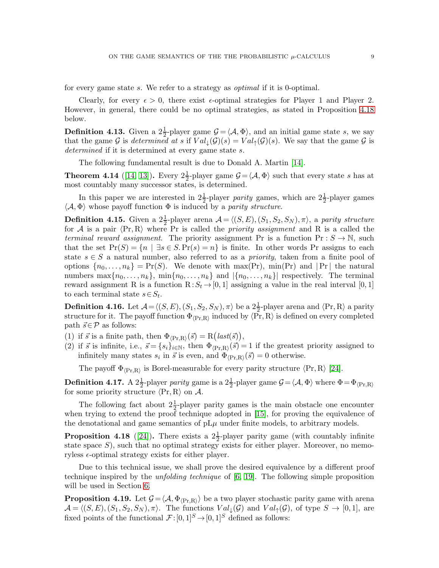for every game state s. We refer to a strategy as *optimal* if it is 0-optimal.

Clearly, for every  $\epsilon > 0$ , there exist  $\epsilon$ -optimal strategies for Player 1 and Player 2. However, in general, there could be no optimal strategies, as stated in Proposition [4.18](#page-8-0) below.

**Definition 4.13.** Given a  $2\frac{1}{2}$ -player game  $\mathcal{G} = \langle \mathcal{A}, \Phi \rangle$ , and an initial game state s, we say that the game G is determined at s if  $Val_{\downarrow}(\mathcal{G})(s) = Val_{\uparrow}(\mathcal{G})(s)$ . We say that the game G is determined if it is determined at every game state s.

The following fundamental result is due to Donald A. Martin [\[14\]](#page-20-17).

<span id="page-8-1"></span>**Theorem 4.14** ([\[14,](#page-20-17) [13\]](#page-20-18)). Every  $2\frac{1}{2}$ -player game  $\mathcal{G} = \langle \mathcal{A}, \Phi \rangle$  such that every state s has at most countably many successor states, is determined.

In this paper we are interested in  $2\frac{1}{2}$ -player parity games, which are  $2\frac{1}{2}$ -player games  $\langle A, \Phi \rangle$  whose payoff function  $\Phi$  is induced by a *parity structure*.

**Definition 4.15.** Given a  $2\frac{1}{2}$ -player arena  $\mathcal{A} = \langle (S, E), (S_1, S_2, S_N), \pi \rangle$ , a parity structure for A is a pair  $\langle Pr, R \rangle$  where Pr is called the *priority assignment* and R is a called the terminal reward assignment. The priority assignment Pr is a function  $Pr: S \to \mathbb{N}$ , such that the set  $Pr(S) = \{n \mid \exists s \in S. Pr(s) = n\}$  is finite. In other words Pr assigns to each state  $s \in S$  a natural number, also referred to as a *priority*, taken from a finite pool of options  $\{n_0, \ldots, n_k\} = \Pr(S)$ . We denote with max(Pr), min(Pr) and |Pr| the natural numbers max $\{n_0, \ldots, n_k\}$ , min $\{n_0, \ldots, n_k\}$  and  $|\{n_0, \ldots, n_k\}|$  respectively. The terminal reward assignment R is a function  $R: S_t \to [0, 1]$  assigning a value in the real interval  $[0, 1]$ to each terminal state  $s \in S_t$ .

**Definition 4.16.** Let  $\mathcal{A} = \langle (S, E), (S_1, S_2, S_N) , \pi \rangle$  be a  $2\frac{1}{2}$ -player arena and  $\langle \text{Pr}, \text{R} \rangle$  a parity structure for it. The payoff function  $\Phi_{\langle \text{Pr}, \text{R}\rangle}$  induced by  $\langle \text{Pr}, \text{R}\rangle$  is defined on every completed path  $\vec{s} \in \mathcal{P}$  as follows:

- (1) if  $\vec{s}$  is a finite path, then  $\Phi_{\langle \text{Pr}, \text{R} \rangle}(\vec{s}) = \text{R}(last(\vec{s})),$
- (2) if  $\vec{s}$  is infinite, i.e.,  $\vec{s} = \{s_i\}_{i \in \mathbb{N}}$ , then  $\Phi_{\langle \text{Pr}, \text{R} \rangle}(\vec{s}) = 1$  if the greatest priority assigned to infinitely many states  $s_i$  in  $\vec{s}$  is even, and  $\Phi_{\langle \text{Pr}, \text{R}\rangle}(\vec{s}) = 0$  otherwise.

The payoff  $\Phi_{\langle \text{Pr}, \text{R}\rangle}$  is Borel-measurable for every parity structure  $\langle \text{Pr}, \text{R}\rangle$  [\[24\]](#page-20-11).

**Definition 4.17.** A  $2\frac{1}{2}$ -player parity game is a  $2\frac{1}{2}$ -player game  $\mathcal{G} = \langle \mathcal{A}, \Phi \rangle$  where  $\Phi = \Phi_{\langle \text{Pr}, \text{R} \rangle}$ for some priority structure  $\langle Pr, R \rangle$  on A.

The following fact about  $2\frac{1}{2}$ -player parity games is the main obstacle one encounter when trying to extend the proof technique adopted in [\[15\]](#page-20-10), for proving the equivalence of the denotational and game semantics of  $pL\mu$  under finite models, to arbitrary models.

<span id="page-8-0"></span>**Proposition 4.18** ([\[24\]](#page-20-11)). There exists a  $2\frac{1}{2}$ -player parity game (with countably infinite state space  $S$ ), such that no optimal strategy exists for either player. Moreover, no memoryless  $\epsilon$ -optimal strategy exists for either player.

Due to this technical issue, we shall prove the desired equivalence by a different proof technique inspired by the unfolding technique of [\[6,](#page-20-12) [19\]](#page-20-13). The following simple proposition will be used in Section [6.](#page-12-0)

<span id="page-8-2"></span>**Proposition 4.19.** Let  $G = \langle A, \Phi_{\langle \text{Pr}, R \rangle} \rangle$  be a two player stochastic parity game with arena  $\mathcal{A} = \langle (S, E), (S_1, S_2, S_N), \pi \rangle$ . The functions  $Val_{\downarrow}(\mathcal{G})$  and  $Val_{\uparrow}(\mathcal{G})$ , of type  $S \to [0, 1]$ , are fixed points of the functional  $\mathcal{F}:[0,1]^S \to [0,1]^S$  defined as follows: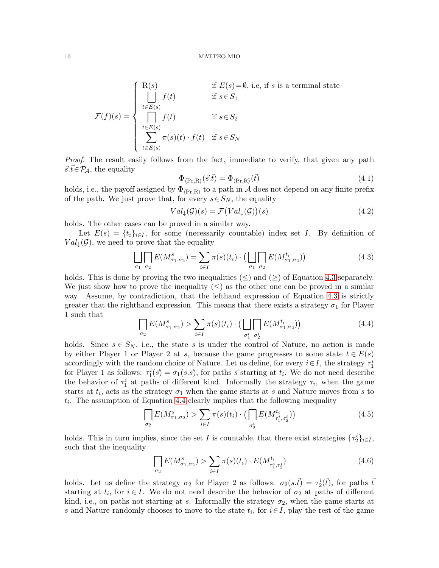$$
\mathcal{F}(f)(s) = \begin{cases}\n\text{R}(s) & \text{if } E(s) = \emptyset, \text{ i.e., if } s \text{ is a terminal state} \\
\bigcup_{t \in E(s)} f(t) & \text{if } s \in S_1 \\
\bigcap_{t \in E(s)} f(t) & \text{if } s \in S_2 \\
\sum_{t \in E(s)} \pi(s)(t) \cdot f(t) & \text{if } s \in S_N\n\end{cases}
$$

Proof. The result easily follows from the fact, immediate to verify, that given any path  $\vec{s}.\vec{t} \in \mathcal{P}_\mathcal{A}$ , the equality

<span id="page-9-4"></span>
$$
\Phi_{\langle \Pr, R \rangle}(\vec{s}.\vec{t}) = \Phi_{\langle \Pr, R \rangle}(\vec{t}) \tag{4.1}
$$

holds, i.e., the payoff assigned by  $\Phi_{\langle \text{Pr},R\rangle}$  to a path in  $\mathcal A$  does not depend on any finite prefix of the path. We just prove that, for every  $s \in S_N$ , the equality

<span id="page-9-3"></span>
$$
Val_{\downarrow}(\mathcal{G})(s) = \mathcal{F}(Val_{\downarrow}(\mathcal{G}))(s)
$$
\n(4.2)

holds. The other cases can be proved in a similar way.

Let  $E(s) = \{t_i\}_{i\in I}$ , for some (necessarily countable) index set I. By definition of  $Val_{\downarrow}(\mathcal{G})$ , we need to prove that the equality

<span id="page-9-0"></span>
$$
\bigsqcup_{\sigma_1} \bigsqcup_{\sigma_2} E(M^s_{\sigma_1, \sigma_2}) = \sum_{i \in I} \pi(s)(t_i) \cdot \left( \bigsqcup_{\sigma_1} \bigsqcup_{\sigma_2} E(M^{t_i}_{\sigma_1, \sigma_2}) \right) \tag{4.3}
$$

holds. This is done by proving the two inequalities  $(\le)$  and  $(\ge)$  of Equation [4.3](#page-9-0) separately. We just show how to prove the inequality  $(\leq)$  as the other one can be proved in a similar way. Assume, by contradiction, that the lefthand expression of Equation [4.3](#page-9-0) is strictly greater that the righthand expression. This means that there exists a strategy  $\sigma_1$  for Player 1 such that

<span id="page-9-1"></span>
$$
\bigcap_{\sigma_2} E(M^s_{\sigma_1, \sigma_2}) > \sum_{i \in I} \pi(s)(t_i) \cdot \left( \prod_{\sigma_1^i} E(M^{t_i}_{\sigma_1, \sigma_2}) \right) \tag{4.4}
$$

holds. Since  $s \in S_N$ , i.e., the state s is under the control of Nature, no action is made by either Player 1 or Player 2 at s, because the game progresses to some state  $t \in E(s)$ accordingly with the random choice of Nature. Let us define, for every  $i \in I$ , the strategy  $\tau_1^i$ for Player 1 as follows:  $\tau_1^i(\vec{s}) = \sigma_1(s.\vec{s})$ , for paths  $\vec{s}$  starting at  $t_i$ . We do not need describe the behavior of  $\tau_1^i$  at paths of different kind. Informally the strategy  $\tau_i$ , when the game starts at  $t_i$ , acts as the strategy  $\sigma_1$  when the game starts at s and Nature moves from s to  $t_i$ . The assumption of Equation [4.4](#page-9-1) clearly implies that the following inequality

$$
\prod_{\sigma_2} E(M^s_{\sigma_1, \sigma_2}) > \sum_{i \in I} \pi(s)(t_i) \cdot \left( \prod_{\sigma_2^i} E(M^{t_i}_{\tau_1^i, \sigma_2^i}) \right) \tag{4.5}
$$

holds. This in turn implies, since the set I is countable, that there exist strategies  $\{\tau_2^i\}_{i\in I}$ , such that the inequality

<span id="page-9-2"></span>
$$
\prod_{\sigma_2} E(M^s_{\sigma_1, \sigma_2}) > \sum_{i \in I} \pi(s)(t_i) \cdot E(M^{t_i}_{\tau_1^i, \tau_2^i})
$$
\n(4.6)

holds. Let us define the strategy  $\sigma_2$  for Player 2 as follows:  $\sigma_2(s.\vec{t}) = \tau_2^i(\vec{t})$ , for paths  $\vec{t}$ starting at  $t_i$ , for  $i \in I$ . We do not need describe the behavior of  $\sigma_2$  at paths of different kind, i.e., on paths not starting at s. Informally the strategy  $\sigma_2$ , when the game starts at s and Nature randomly chooses to move to the state  $t_i$ , for  $i \in I$ , play the rest of the game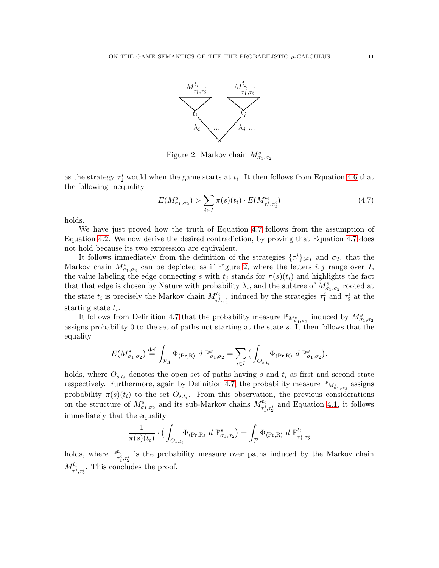

<span id="page-10-1"></span>Figure 2: Markov chain  $M^s_{\sigma_1,\sigma_2}$ 

as the strategy  $\tau_2^i$  would when the game starts at  $t_i$ . It then follows from Equation [4.6](#page-9-2) that the following inequality

<span id="page-10-0"></span>
$$
E(M^s_{\sigma_1, \sigma_2}) > \sum_{i \in I} \pi(s)(t_i) \cdot E(M^{t_i}_{\tau^i_1, \tau^i_2}) \tag{4.7}
$$

holds.

We have just proved how the truth of Equation [4.7](#page-10-0) follows from the assumption of Equation [4.2.](#page-9-3) We now derive the desired contradiction, by proving that Equation [4.7](#page-10-0) does not hold because its two expression are equivalent.

It follows immediately from the definition of the strategies  $\{\tau_1^i\}_{i\in I}$  and  $\sigma_2$ , that the Markov chain  $M^s_{\sigma_1,\sigma_2}$  can be depicted as if Figure [2,](#page-10-1) where the letters  $i, j$  range over I, the value labeling the edge connecting s with  $t_j$  stands for  $\pi(s)(t_i)$  and highlights the fact that that edge is chosen by Nature with probability  $\lambda_i$ , and the subtree of  $M^s_{\sigma_1,\sigma_2}$  rooted at the state  $t_i$  is precisely the Markov chain  $M_{\tau_1^i, \tau_2^i}^{t_i}$  induced by the strategies  $\tau_1^i$  and  $\tau_2^i$  at the starting state  $t_i$ .

It follows from Definition [4.7](#page-6-0) that the probability measure  $\mathbb{P}_{M_{\sigma_1,\sigma_2}}$  induced by  $M_{\sigma_1,\sigma_2}^s$ assigns probability 0 to the set of paths not starting at the state s. It then follows that the equality

$$
E(M^s_{\sigma_1,\sigma_2}) \stackrel{\text{def}}{=} \int_{\mathcal{P}_{\mathcal{A}}} \Phi_{\langle \text{Pr}, \text{R} \rangle} d\mathbb{P}^s_{\sigma_1,\sigma_2} = \sum_{i \in I} \big( \int_{O_{s.t_i}} \Phi_{\langle \text{Pr}, \text{R} \rangle} d\mathbb{P}^s_{\sigma_1,\sigma_2} \big).
$$

holds, where  $O_{s,t_i}$  denotes the open set of paths having s and  $t_i$  as first and second state respectively. Furthermore, again by Definition [4.7,](#page-6-0) the probability measure  $\mathbb{P}_{M^s_{\sigma_1,\sigma_2}}$  assigns probability  $\pi(s)(t_i)$  to the set  $O_{s,t_i}$ . From this observation, the previous considerations on the structure of  $M^s_{\sigma_1,\sigma_2}$  and its sub-Markov chains  $M^{t_i}_{\tau_1^i,\tau_2^i}$  and Equation [4.1,](#page-9-4) it follows immediately that the equality

$$
\frac{1}{\pi(s)(t_i)} \cdot \left( \int_{O_{s.t_i}} \Phi_{\langle \text{Pr}, \text{R} \rangle} d \; \mathbb{P}^s_{\sigma_1, \sigma_2} \right) = \int_{\mathcal{P}} \Phi_{\langle \text{Pr}, \text{R} \rangle} d \; \mathbb{P}^{t_i}_{\tau_1^i, \tau_2^i}
$$

holds, where  $\mathbb{P}^{t_i}$  $\tau_i^i$  is the probability measure over paths induced by the Markov chain  $M_{\tau_1^i, \tau_2^i}^{t_i}$ . This concludes the proof.  $\Box$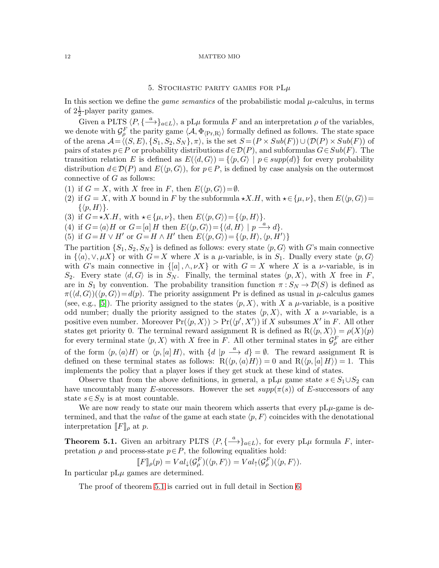# 5. STOCHASTIC PARITY GAMES FOR PL $\mu$

<span id="page-11-0"></span>In this section we define the *game semantics* of the probabilistic modal  $\mu$ -calculus, in terms of  $2\frac{1}{2}$ -player parity games.

Given a PLTS  $\langle P, \{\stackrel{a}{\longrightarrow}\}_{{a\in L}}\rangle$ , a pL $\mu$  formula F and an interpretation  $\rho$  of the variables, we denote with  $\mathcal{G}_{\rho}^F$  the parity game  $\langle A, \Phi_{\langle \text{Pr}, \text{R} \rangle} \rangle$  formally defined as follows. The state space of the arena  $\mathcal{A} = \langle (S, E), \{S_1, S_2, S_N\}, \pi \rangle$ , is the set  $S = (P \times Sub(F)) \cup (\mathcal{D}(P) \times Sub(F))$  of pairs of states  $p \in P$  or probability distributions  $d \in \mathcal{D}(P)$ , and subformulas  $G \in Sub(F)$ . The transition relation E is defined as  $E(\langle d, G \rangle) = \{ \langle p, G \rangle \mid p \in supp(d) \}$  for every probability distribution  $d \in \mathcal{D}(P)$  and  $E(\langle p, G \rangle)$ , for  $p \in P$ , is defined by case analysis on the outermost connective of G as follows:

- (1) if  $G = X$ , with X free in F, then  $E(\langle p, G \rangle) = \emptyset$ .
- (2) if  $G = X$ , with X bound in F by the subformula  $\star X.H$ , with  $\star \in {\{\mu, \nu\}}$ , then  $E({\langle p, G \rangle}) =$  $\{\langle p, H\rangle\}.$
- (3) if  $G=\star X.H$ , with  $\star \in {\mu, \nu}$ , then  $E(\langle p, G \rangle) = {\langle p, H \rangle}.$
- (4) if  $G = \langle a \rangle H$  or  $G = [a] H$  then  $E(\langle p, G \rangle) = {\langle d, H \rangle | p \stackrel{a}{\longrightarrow} d}.$
- (5) if  $G = H \vee H'$  or  $G = H \wedge H'$  then  $E(\langle p, G \rangle) = {\langle p, H \rangle, \langle p, H' \rangle}$

The partition  $\{S_1, S_2, S_N\}$  is defined as follows: every state  $\langle p, G \rangle$  with G's main connective in  $\{\langle a \rangle, \vee, \mu X\}$  or with  $G=X$  where X is a  $\mu$ -variable, is in  $S_1$ . Dually every state  $\langle p, G \rangle$ with G's main connective in  $\{[a], \wedge, \nu X\}$  or with  $G = X$  where X is a  $\nu$ -variable, is in  $S_2$ . Every state  $\langle d, G \rangle$  is in  $S_N$ . Finally, the terminal states  $\langle p, X \rangle$ , with X free in F, are in  $S_1$  by convention. The probability transition function  $\pi: S_N \to \mathcal{D}(S)$  is defined as  $\pi(\langle d, G \rangle)(\langle p, G \rangle) = d(p)$ . The priority assignment Pr is defined as usual in  $\mu$ -calculus games (see, e.g., [\[5\]](#page-20-9)). The priority assigned to the states  $\langle p, X \rangle$ , with X a  $\mu$ -variable, is a positive odd number; dually the priority assigned to the states  $\langle p, X \rangle$ , with X a v-variable, is a positive even number. Moreover  $Pr(\langle p, X \rangle) > Pr(\langle p', X' \rangle)$  if X subsumes X' in F. All other states get priority 0. The terminal reward assignment R is defined as  $R(\langle p, X \rangle) = \rho(X)(p)$ for every terminal state  $\langle p, X \rangle$  with X free in F. All other terminal states in  $\mathcal{G}_{\rho}^F$  are either of the form  $\langle p,\langle a\rangle H\rangle$  or  $\langle p,[a]H\rangle$ , with  $\{d | p \stackrel{a}{\longrightarrow} d\} = \emptyset$ . The reward assignment R is defined on these terminal states as follows:  $R(\langle p, \langle a \rangle H \rangle) = 0$  and  $R(\langle p, [a] H \rangle) = 1$ . This implements the policy that a player loses if they get stuck at these kind of states.

Observe that from the above definitions, in general, a pL $\mu$  game state  $s \in S_1 \cup S_2$  can have uncountably many E-successors. However the set  $supp(\pi(s))$  of E-successors of any state  $s \in S_N$  is at most countable.

We are now ready to state our main theorem which asserts that every  $pL\mu$ -game is determined, and that the value of the game at each state  $\langle p, F \rangle$  coincides with the denotational interpretation  $\llbracket F \rrbracket_{\rho}$  at p.

<span id="page-11-1"></span>**Theorem 5.1.** Given an arbitrary PLTS  $\langle P, \{\stackrel{a}{\longrightarrow}\}_{{a\in L}}\rangle$ , for every pL $\mu$  formula F, interpretation  $\rho$  and process-state  $p \in P$ , the following equalities hold:

$$
[[F]]\rho(p) = Val_{\downarrow}(\mathcal{G}_{\rho}^{F})(\langle p, F \rangle) = Val_{\uparrow}(\mathcal{G}_{\rho}^{F})(\langle p, F \rangle).
$$

In particular  $pL\mu$  games are determined.

The proof of theorem [5.1](#page-11-1) is carried out in full detail in Section [6.](#page-12-0)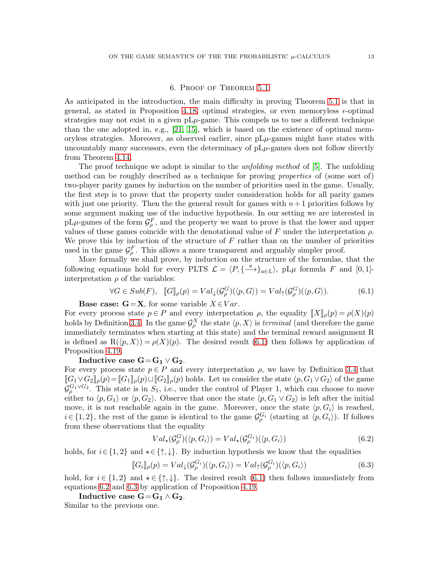# 6. Proof of Theorem [5.1](#page-11-1)

<span id="page-12-0"></span>As anticipated in the introduction, the main difficulty in proving Theorem [5.1](#page-11-1) is that in general, as stated in Proposition [4.18,](#page-8-0) optimal strategies, or even memoryless  $\epsilon$ -optimal strategies may not exist in a given  $pL\mu$ -game. This compels us to use a different technique than the one adopted in, e.g.,  $[21, 15]$  $[21, 15]$ , which is based on the existence of optimal memoryless strategies. Moreover, as observed earlier, since  $pL\mu$ -games might have states with uncountably many successors, even the determinacy of  $pL\mu$ -games does not follow directly from Theorem [4.14.](#page-8-1)

The proof technique we adopt is similar to the *unfolding method* of [\[5\]](#page-20-9). The unfolding method can be roughly described as a technique for proving properties of (some sort of) two-player parity games by induction on the number of priorities used in the game. Usually, the first step is to prove that the property under consideration holds for all parity games with just one priority. Then the the general result for games with  $n+1$  priorities follows by some argument making use of the inductive hypothesis. In our setting we are interested in  $pL\mu$ -games of the form  $\mathcal{G}_{\rho}^F$ , and the property we want to prove is that the lower and upper values of these games coincide with the denotational value of F under the interpretation  $\rho$ . We prove this by induction of the structure of  $F$  rather than on the number of priorities used in the game  $\mathcal{G}_{\rho}^{F}$ . This allows a more transparent and arguably simpler proof.

More formally we shall prove, by induction on the structure of the formulas, that the following equations hold for every PLTS  $\mathcal{L} = \langle P, \{\frac{a}{\longrightarrow}\}_{{a \in L}}\rangle$ , pL $\mu$  formula F and [0, 1]interpretation  $\rho$  of the variables:

<span id="page-12-1"></span>
$$
\forall G \in Sub(F), \quad [G]_{\rho}(p) = Val_{\downarrow}(G_{\rho}^{G})(\langle p, G \rangle) = Val_{\uparrow}(G_{\rho}^{G})(\langle p, G \rangle).
$$
 (6.1)

**Base case: G**=**X**, for some variable  $X \in Var$ .

For every process state  $p \in P$  and every interpretation  $\rho$ , the equality  $\llbracket X \rrbracket_{\rho}(p) = \rho(X)(p)$ holds by Definition [3.4.](#page-4-0) In the game  $\mathcal{G}^X_\rho$  the state  $\langle p, X \rangle$  is *terminal* (and therefore the game immediately terminates when starting at this state) and the terminal reward assignment R is defined as  $R(\langle p, X \rangle) = \rho(X)(p)$ . The desired result [\(6.1\)](#page-12-1) then follows by application of Proposition [4.19.](#page-8-2)

# Inductive case  $G = G_1 \vee G_2$ .

For every process state  $p \in P$  and every interpretation  $\rho$ , we have by Definition [3.4](#page-4-0) that  $[[G_1 \vee G_2]]_p(p)=[G_1]]_p(p) \sqcup [[G_2]]_p(p)$  holds. Let us consider the state  $\langle p, G_1 \vee G_2 \rangle$  of the game  $\mathcal{G}_{\rho}^{G_1 \vee G_2}$ . This state is in  $S_1$ , i.e., under the control of Player 1, which can choose to move either to  $\langle p, G_1 \rangle$  or  $\langle p, G_2 \rangle$ . Observe that once the state  $\langle p, G_1 \vee G_2 \rangle$  is left after the initial move, it is not reachable again in the game. Moreover, once the state  $\langle p, G_i \rangle$  is reached,  $i \in \{1, 2\}$ , the rest of the game is identical to the game  $\mathcal{G}_{\rho}^{G_i}$  (starting at  $\langle p, G_i \rangle$ ). If follows from these observations that the equality

<span id="page-12-2"></span>
$$
Val_{\star}(\mathcal{G}_{\rho}^{G})(\langle p, G_{i} \rangle) = Val_{\star}(\mathcal{G}_{\rho}^{G_{i}})(\langle p, G_{i} \rangle)
$$
\n(6.2)

holds, for  $i \in \{1,2\}$  and  $\star \in \{\uparrow,\downarrow\}$ . By induction hypothesis we know that the equalities

<span id="page-12-3"></span>
$$
[\![G_i]\!]_\rho(p) = Val_\downarrow(\mathcal{G}_\rho^{G_i})(\langle p, G_i \rangle) = Val_\uparrow(\mathcal{G}_\rho^{G_i})(\langle p, G_i \rangle) \tag{6.3}
$$

hold, for  $i \in \{1,2\}$  and  $\star \in \{\uparrow,\downarrow\}$ . The desired result [\(6.1\)](#page-12-1) then follows immediately from equations [6.2](#page-12-2) and [6.3](#page-12-3) by application of Proposition [4.19.](#page-8-2)

Inductive case  $G = G_1 \wedge G_2$ .

Similar to the previous one.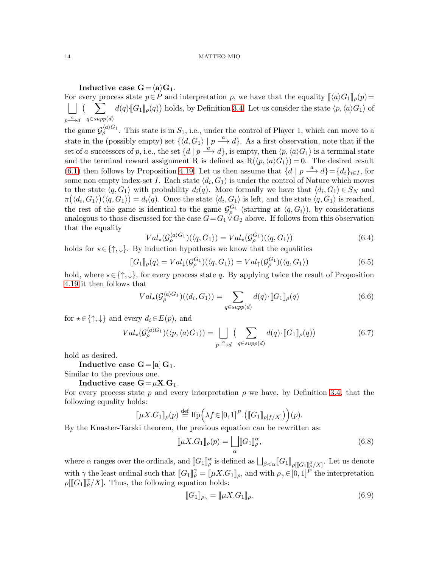# Inductive case  $G = \langle a \rangle G_1$ .

For every process state  $p \in P$  and interpretation  $\rho$ , we have that the equality  $[\langle a \rangle G_1]_{\rho}(p)$  =  $\vert \vert$  (  $p \stackrel{a}{\longrightarrow} d \quad q \in supp(d)$  $\left(\sum d(q)$ <sup>[</sup> $G_1$ ]<sub>*ρ*</sub>(*q*)) holds, by Definition [3.4.](#page-4-0) Let us consider the state  $\langle p, \langle a \rangle G_1 \rangle$  of the game  $\mathcal{G}_{\rho}^{\langle a\rangle G_1}$ . This state is in  $S_1$ , i.e., under the control of Player 1, which can move to a

state in the (possibly empty) set  $\{ \langle d, G_1 \rangle | p \stackrel{a}{\longrightarrow} d \}$ . As a first observation, note that if the set of a-successors of p, i.e., the set  $\{d \mid p \stackrel{a}{\longrightarrow} d\}$ , is empty, then  $\langle p,\langle a \rangle G_1\rangle$  is a terminal state and the terminal reward assignment R is defined as  $R(\langle p,\langle a\rangle G_1\rangle) = 0$ . The desired result [\(6.1\)](#page-12-1) then follows by Proposition [4.19.](#page-8-2) Let us then assume that  $\{d \mid p \stackrel{a}{\longrightarrow} d\} = \{d_i\}_{i \in I}$ , for some non empty index-set I. Each state  $\langle d_i, G_1 \rangle$  is under the control of Nature which moves to the state  $\langle q, G_1 \rangle$  with probability  $d_i(q)$ . More formally we have that  $\langle d_i, G_1 \rangle \in S_N$  and  $\pi(\langle d_i, G_1 \rangle)(\langle q, G_1 \rangle) = d_i(q)$ . Once the state  $\langle d_i, G_1 \rangle$  is left, and the state  $\langle q, G_1 \rangle$  is reached, the rest of the game is identical to the game  $\mathcal{G}_{\rho}^{G_1}$  (starting at  $\langle q, G_i \rangle$ ), by considerations analogous to those discussed for the case  $G = G_1 \vee G_2$  above. If follows from this observation that the equality

$$
Val_{\star}(\mathcal{G}_{\rho}^{\langle a\rangle G_{1}})(\langle q, G_{1}\rangle) = Val_{\star}(\mathcal{G}_{\rho}^{G_{1}})(\langle q, G_{1}\rangle)
$$
\n(6.4)

holds for  $\star \in \{\uparrow, \downarrow\}$ . By induction hypothesis we know that the equalities

$$
[\![G_1]\!]_\rho(q) = Val_\downarrow(\mathcal{G}_\rho^{G_1})(\langle q, G_1 \rangle) = Val_\uparrow(\mathcal{G}_\rho^{G_1})(\langle q, G_1 \rangle) \tag{6.5}
$$

hold, where  $\star \in \{\uparrow, \downarrow\}$ , for every process state q. By applying twice the result of Proposition [4.19](#page-8-2) it then follows that

$$
Val_{\star}(\mathcal{G}_{\rho}^{\langle a\rangle G_{1}})(\langle d_{i}, G_{1}\rangle) = \sum_{q \in supp(d)} d(q) \cdot [G_{1}]_{\rho}(q)
$$
\n(6.6)

for  $\star \in \{\uparrow, \downarrow\}$  and every  $d_i \in E(p)$ , and

$$
Val_{\star}(\mathcal{G}_{\rho}^{\langle a\rangle G_{1}})(\langle p,\langle a\rangle G_{1}\rangle) = \bigsqcup_{p\longrightarrow d} \left(\sum_{q\in supp(d)} d(q)\cdot [G_{1}]_{\rho}(q)\right)
$$
(6.7)

hold as desired.

Inductive case  $G=[a] G_1$ .

Similar to the previous one.

# Inductive case  $G = \mu X.G_1$ .

For every process state p and every interpretation  $\rho$  we have, by Definition [3.4,](#page-4-0) that the following equality holds:

$$
[\![\mu X. G_1]\!]_\rho(p) \stackrel{\text{def}}{=} \text{Ifp}\Big(\lambda f \in [0,1]^P \cdot \big( [\![G_1]\!]_{\rho[f/X]} \big) \Big)(p).
$$

By the Knaster-Tarski theorem, the previous equation can be rewritten as:

$$
[\![\mu X. G_1]\!]_\rho(p) = \bigsqcup_{\alpha} [[G_1]\!]_\rho^\alpha,\tag{6.8}
$$

where  $\alpha$  ranges over the ordinals, and  $[\![G_1]\!]^\alpha_\rho$  is defined as  $\bigsqcup_{\beta<\alpha} [ \![G_1]\!]^\beta_{\rho} [ \![G_1]\!]^\beta_\rho/X ]$ . Let us denote with  $\gamma$  the least ordinal such that  $[[G_1]]_p^{\gamma} = [[\mu X. G_1]]_p$ , and with  $\rho_{\gamma} \in [0, 1]^p$  the interpretation  $\rho[[G_1]]_p^{\gamma}/X]$ . Thus, the following equation holds:

$$
\llbracket G_1 \rrbracket_{\rho_\gamma} = \llbracket \mu X. G_1 \rrbracket_{\rho}.
$$
\n(6.9)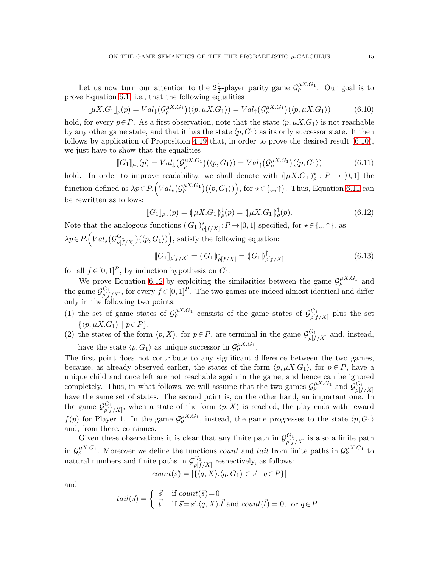Let us now turn our attention to the  $2\frac{1}{2}$ -player parity game  $\mathcal{G}_{\rho}^{\mu X.G_1}$ . Our goal is to prove Equation [6.1,](#page-12-1) i.e., that the following equalities

<span id="page-14-0"></span>
$$
[\![\mu X. G_1]\!]_\rho(p) = Val_\downarrow(\mathcal{G}_\rho^{\mu X. G_1})(\langle p, \mu X. G_1 \rangle) = Val_\uparrow(\mathcal{G}_\rho^{\mu X. G_1})(\langle p, \mu X. G_1 \rangle) \tag{6.10}
$$

hold, for every  $p \in P$ . As a first observation, note that the state  $\langle p, \mu X. G_1 \rangle$  is not reachable by any other game state, and that it has the state  $\langle p, G_1 \rangle$  as its only successor state. It then follows by application of Proposition [4.19](#page-8-2) that, in order to prove the desired result [\(6.10\)](#page-14-0), we just have to show that the equalities

<span id="page-14-1"></span>
$$
[\![G_1]\!]_{\rho_\gamma}(p) = Val_\downarrow(\mathcal{G}^{\mu X. G_1}_{\rho})(\langle p, G_1 \rangle) = Val_\uparrow(\mathcal{G}^{\mu X. G_1}_{\rho})(\langle p, G_1 \rangle) \tag{6.11}
$$

hold. In order to improve readability, we shall denote with  $(\mu X . G_1)_{\rho}^* : P \to [0, 1]$  the function defined as  $\lambda p \in P.\left(Val_{\star}(\mathcal{G}_{\rho}^{\mu X.G_1})(\langle p,G_1 \rangle)\right)$ , for  $\star \in \{\downarrow,\uparrow\}.$  Thus, Equation [6.11](#page-14-1) can be rewritten as follows:

<span id="page-14-2"></span>
$$
[\![G_1]\!]_{\rho_\gamma}(p) = (\!\!\!\mu X. G_1)\!\!\!\downarrow^{\, \downarrow}(p) = (\!\!\!\mu X. G_1)\!\!\!\downarrow^{\, \uparrow}(p). \tag{6.12}
$$

Note that the analogous functions  $\left(\big| G_1 \right)_{\rho[f/X]}^{\star}: P \to [0, 1]$  specified, for  $\star \in \{\downarrow, \uparrow\}$ , as  $\lambda p \in P.\left( Val_{\star}\left( \mathcal{G}_{o\restriction f}^{G_1} \right) \right)$  $\binom{G_1}{\rho[f/X]}(\langle p,G_1 \rangle)\Big)$ , satisfy the following equation:

<span id="page-14-3"></span>
$$
\llbracket G_1 \rrbracket_{\rho[f/X]} = \llbracket G_1 \rrbracket_{\rho[f/X]}^{\downarrow} = \llbracket G_1 \rrbracket_{\rho[f/X]}^{\uparrow}
$$
 (6.13)

for all  $f \in [0, 1]^P$ , by induction hypothesis on  $G_1$ .

We prove Equation [6.12](#page-14-2) by exploiting the similarities between the game  $\mathcal{G}_{\rho}^{\mu X.G_1}$  and the game  $\mathcal{G}_{\text{off}}^{G_1}$  ${}_{\rho[f/X]}^{G_1}$ , for every  $f \in [0,1]^P$ . The two games are indeed almost identical and differ only in the following two points:

- (1) the set of game states of  $\mathcal{G}_{\rho}^{\mu X.G_1}$  consists of the game states of  $\mathcal{G}_{off}^{G_1}$  $\varphi[f/X]$  plus the set  $\{\langle p, \mu X.G_1\rangle \mid p\in P\},\$
- (2) the states of the form  $\langle p, X \rangle$ , for  $p \in P$ , are terminal in the game  $\mathcal{G}_{\text{off}}^{G_1}$  $\varphi[f/X]$  and, instead, have the state  $\langle p, G_1 \rangle$  as unique successor in  $\mathcal{G}_{\rho}^{\mu X.G_1}$ .

The first point does not contribute to any significant difference between the two games, because, as already observed earlier, the states of the form  $\langle p, \mu X. G_1 \rangle$ , for  $p \in P$ , have a unique child and once left are not reachable again in the game, and hence can be ignored completely. Thus, in what follows, we will assume that the two games  $\mathcal{G}_{\rho}^{\mu X.G_1}$  and  $\mathcal{G}_{\rho I}^{G_1}$  $\rho[f/X]$ have the same set of states. The second point is, on the other hand, an important one. In the game  $\mathcal{G}_{\text{off}}^{G_1}$  $\varphi_{\lfloor f/X \rfloor}^{G_1}$ , when a state of the form  $\langle p, X \rangle$  is reached, the play ends with reward  $f(p)$  for Player 1. In the game  $\mathcal{G}_{\rho}^{\mu X.G_1}$ , instead, the game progresses to the state  $\langle p, G_1 \rangle$ and, from there, continues.

Given these observations it is clear that any finite path in  $\mathcal{G}_{\text{off}}^{G_1}$  $\int_{\rho[f/X]}^{\mathbf{G}_1}$  is also a finite path in  $\mathcal{G}_{\rho}^{\mu X.G_1}$ . Moreover we define the functions *count* and *tail* from finite paths in  $\mathcal{G}_{\rho}^{\mu X.G_1}$  to natural numbers and finite paths in  $\mathcal{G}_{\text{off}}^{G_1}$  $_{\rho[f/X]}^{\mathbf{G}_1}$  respectively, as follows:

$$
count(\vec{s}) = |\{\langle q, X \rangle.\langle q, G_1 \rangle \in \vec{s} \mid q \in P\}|
$$

and

$$
tail(\vec{s}) = \begin{cases} \vec{s} & \text{if } count(\vec{s}) = 0\\ \vec{t} & \text{if } \vec{s} = \vec{s'}.\langle q, X \rangle.\vec{t} \text{ and } count(\vec{t}) = 0, \text{ for } q \in P \end{cases}
$$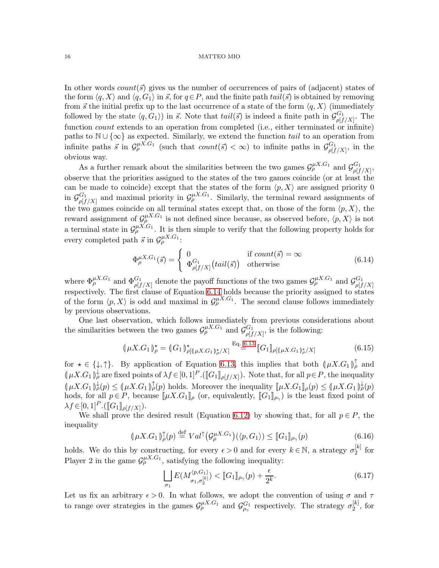In other words count  $(\vec{s})$  gives us the number of occurrences of pairs of (adjacent) states of the form  $\langle q, X \rangle$  and  $\langle q, G_1 \rangle$  in  $\vec{s}$ , for  $q \in P$ , and the finite path  $tail(\vec{s})$  is obtained by removing from  $\vec{s}$  the initial prefix up to the last occurrence of a state of the form  $\langle q, X \rangle$  (immediately followed by the state  $\langle q, G_1 \rangle$  in  $\vec{s}$ . Note that  $tail(\vec{s})$  is indeed a finite path in  $\mathcal{G}_{off}^{G_1}$  $\int_{\rho[f/X]}^{\mathbf{G}_1}$ . The function *count* extends to an operation from completed (i.e., either terminated or infinite) paths to  $\mathbb{N} \cup \{\infty\}$  as expected. Similarly, we extend the function tail to an operation from infinite paths  $\vec{s}$  in  $\mathcal{G}_{\rho}^{\mu X.G_1}$  (such that  $count(\vec{s}) < \infty$ ) to infinite paths in  $\mathcal{G}_{off}^{G_1}$  $\varphi[f/X]$ , in the obvious way.

As a further remark about the similarities between the two games  $\mathcal{G}_{\rho}^{\mu X.G_1}$  and  $\mathcal{G}_{off}^{G_1}$  $\frac{\sigma_1}{\rho[f/X]},$ observe that the priorities assigned to the states of the two games coincide (or at least the can be made to coincide) except that the states of the form  $\langle p, X \rangle$  are assigned priority 0 in  $\mathcal{G}_{\text{\tiny{off}}}^{G_1}$  $\mathcal{G}_p^{(G_1)}$  and maximal priority in  $\mathcal{G}_p^{\mu X.G_1}$ . Similarly, the terminal reward assignments of the two games coincide on all terminal states except that, on those of the form  $\langle p, X \rangle$ , the reward assignment of  $\mathcal{G}_{\rho}^{\mu X.G_1}$  is not defined since because, as observed before,  $\langle p, X \rangle$  is not a terminal state in  $\mathcal{G}_{\rho}^{\mu X.G_1}$ . It is then simple to verify that the following property holds for every completed path  $\vec{s}$  in  $\mathcal{G}_{\rho}^{\mu X.G_1}$ :

<span id="page-15-0"></span>
$$
\Phi_{\rho}^{\mu X. G_1}(\vec{s}) = \begin{cases} 0 & \text{if } count(\vec{s}) = \infty \\ \Phi_{\rho[f/X]}^{G_1}(tail(\vec{s})) & \text{otherwise} \end{cases}
$$
(6.14)

where  $\Phi_{\rho}^{\mu X.G_1}$  and  $\Phi_{\rho[f/X]}^{G_1}$  denote the payoff functions of the two games  $\mathcal{G}_{\rho}^{\mu X.G_1}$  and  $\mathcal{G}_{\rho[f]}^{G_1}$  $\rho[f/X]$ respectively. The first clause of Equation [6.14](#page-15-0) holds because the priority assigned to states of the form  $\langle p, X \rangle$  is odd and maximal in  $\mathcal{G}_{\rho}^{\mu X.G_1}$ . The second clause follows immediately by previous observations.

One last observation, which follows immediately from previous considerations about the similarities between the two games  $\mathcal{G}_{\rho}^{\mu X.G_1}$  and  $\mathcal{G}_{\rho I}^{G_1}$  $\frac{G_1}{\rho[f/X]}$ , is the following:

$$
(\mu X. G_1)_{\rho}^{\star} = (G_1)_{\rho}^{\star} [(\mu X. G_1)_{\rho}^{\star}/X] \stackrel{\text{Eq. 6.13}}{=} [G_1]_{\rho} [(\mu X. G_1)_{\rho}^{\star}/X] \tag{6.15}
$$

for  $\star \in \{\downarrow, \uparrow\}$ . By application of Equation [6.13,](#page-14-3) this implies that both  $(\mu X. G_1)_{\rho}^{\uparrow}$  and  $(\mu X. G_1)_{\rho}^{\downarrow}$  are fixed points of  $\lambda f \in [0,1]^P$ . ( $[[G_1]]_{\rho[f/X]}$ ). Note that, for all  $p \in P$ , the inequality  $(\mu X. G_1) \not\downarrow^{\downarrow}(p) \leq (\mu X. G_1) \not\downarrow^{\uparrow}(p)$  holds. Moreover the inequality  $[\mu X. G_1] \rho(p) \leq (\mu X. G_1) \not\downarrow^{\downarrow}(p)$ hods, for all  $p \in P$ , because  $[\![\mu X.G_1]\!]_\rho$  (or, equivalently,  $[\![G_1]\!]_{\rho_\gamma}$ ) is the least fixed point of  $\lambda f \in [0, 1]^P \cdot (\llbracket G_1 \rrbracket_{\rho[f/X]}).$ 

We shall prove the desired result (Equation [6.12\)](#page-14-2) by showing that, for all  $p \in P$ , the inequality

$$
(\mu X. G_1)_{\rho}^{\uparrow}(p) \stackrel{\text{def}}{=} Val^{\uparrow}(\mathcal{G}_{\rho}^{\mu X. G_1})(\langle p, G_1 \rangle) \leq [G_1]_{\rho_{\gamma}}(p) \tag{6.16}
$$

holds. We do this by constructing, for every  $\epsilon > 0$  and for every  $k \in \mathbb{N}$ , a strategy  $\sigma_2^{[k]}$  $\frac{1}{2}^{\kappa_1}$  for Player 2 in the game  $\mathcal{G}_{\rho}^{\mu X.G_1}$ , satisfying the following inequality:

<span id="page-15-1"></span>
$$
\bigsqcup_{\sigma_1} E(M_{\sigma_1, \sigma_2^{[k]}}^{\langle p, G_1 \rangle}) < [G_1]_{\rho_\gamma}(p) + \frac{\epsilon}{2^k}.\tag{6.17}
$$

Let us fix an arbitrary  $\epsilon > 0$ . In what follows, we adopt the convention of using  $\sigma$  and  $\tau$ to range over strategies in the games  $\mathcal{G}_{\rho}^{\mu X.G_1}$  and  $\mathcal{G}_{\rho_\gamma}^{G_1}$  respectively. The strategy  $\sigma_2^{[k]}$  $2^{[\kappa]}$ , for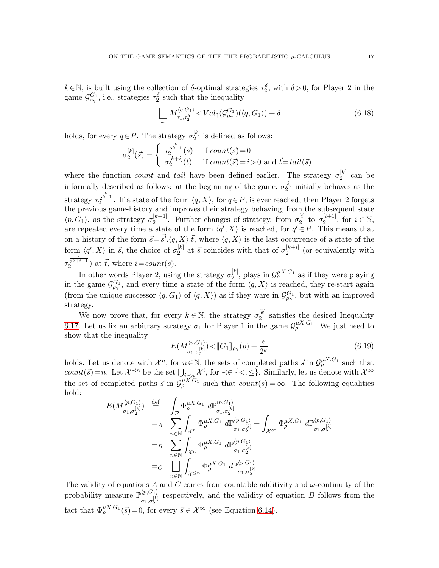$k \in \mathbb{N}$ , is built using the collection of  $\delta$ -optimal strategies  $\tau_2^{\delta}$ , with  $\delta > 0$ , for Player 2 in the game  $\mathcal{G}^{G_1}_{\rho_\gamma}$ , i.e., strategies  $\tau_2^{\delta}$  such that the inequality

<span id="page-16-1"></span>
$$
\bigsqcup_{\tau_1} M_{\tau_1, \tau_2^{\delta}}^{\langle q, G_1 \rangle} < Val_{\uparrow}(\mathcal{G}_{\rho_\gamma}^{G_1}) (\langle q, G_1 \rangle) + \delta \tag{6.18}
$$

holds, for every  $q \in P$ . The strategy  $\sigma_2^{[k]}$  $2^{k}$  is defined as follows:

$$
\sigma_2^{[k]}(\vec{s}) = \begin{cases} \tau_2^{\frac{\epsilon}{2^{k+1}}}(\vec{s}) & \text{if } count(\vec{s}) = 0\\ \sigma_2^{[k+i]}(\vec{t}) & \text{if } count(\vec{s}) = i > 0 \text{ and } \vec{t} = tail(\vec{s}) \end{cases}
$$

where the function *count* and tail have been defined earlier. The strategy  $\sigma_2^{[k]}$  $2^{\lfloor \kappa \rfloor}$  can be informally described as follows: at the beginning of the game,  $\sigma_2^{[k]}$  initially behaves as the 2 strategy  $\tau_2^{\frac{\epsilon}{2^{k+1}}}$ . If a state of the form  $\langle q, X \rangle$ , for  $q \in P$ , is ever reached, then Player 2 forgets the previous game-history and improves their strategy behaving, from the subsequent state  $\langle p, G_1 \rangle$ , as the strategy  $\sigma_2^{[k+1]}$  $\binom{[k+1]}{2}$ . Further changes of strategy, from  $\sigma_2^{[i]}$  $_2^{[i]}$  to  $\sigma_2^{[i+1]}$  $i^{i+1}, \text{ for } i \in \mathbb{N},$ are repeated every time a state of the form  $\langle q', X \rangle$  is reached, for  $q' \in P$ . This means that on a history of the form  $\vec{s} = \vec{s'} \cdot \langle q, X \rangle \cdot \vec{t}$ , where  $\langle q, X \rangle$  is the last occurrence of a state of the form  $\langle q', X \rangle$  in  $\vec{s}$ , the choice of  $\sigma_2^{[k]}$  $\binom{[k]}{2}$  at  $\vec{s}$  coincides with that of  $\sigma_2^{[k+i]}$  $2^{k+i}$  (or equivalently with  $\tau_2^{\frac{\epsilon}{2^{k+i+1}}}$ ) at  $\vec{t}$ , where  $i=count(\vec{s})$ .

In other words Player 2, using the strategy  $\sigma_2^{[k]}$  $\mathcal{Q}_2^{[k]}$ , plays in  $\mathcal{G}_{\rho}^{\mu X.G_1}$  as if they were playing in the game  $\mathcal{G}^{G_1}_{\rho_\gamma}$ , and every time a state of the form  $\langle q, X \rangle$  is reached, they re-start again (from the unique successor  $\langle q, G_1 \rangle$  of  $\langle q, X \rangle$ ) as if they ware in  $\mathcal{G}^{G_1}_{\rho_\gamma}$ , but with an improved strategy.

We now prove that, for every  $k \in \mathbb{N}$ , the strategy  $\sigma_2^{[k]}$  $\frac{1}{2}$  satisfies the desired Inequality [6.17.](#page-15-1) Let us fix an arbitrary strategy  $\sigma_1$  for Player 1 in the game  $\mathcal{G}_{\rho}^{\mu X.G_1}$ . We just need to show that the inequality

<span id="page-16-0"></span>
$$
E(M_{\sigma_1, \sigma_2^{[k]}}^{\langle p, G_1 \rangle}) < [G_1]_{\rho_\gamma}(p) + \frac{\epsilon}{2^k}
$$
\n(6.19)

holds. Let us denote with  $\mathcal{X}^n$ , for  $n \in \mathbb{N}$ , the sets of completed paths  $\vec{s}$  in  $\mathcal{G}_{\rho}^{\mu X.G_1}$  such that *count*( $\vec{s}$ ) = *n*. Let  $\mathcal{X}^{\prec n}$  be the set  $\bigcup_{i \leq n} \mathcal{X}^i$ , for  $\prec \in \{<,\leq\}$ . Similarly, let us denote with  $\mathcal{X}^{\infty}$ the set of completed paths  $\vec{s}$  in  $\mathcal{G}_{\rho}^{\mu X.G_1}$  such that  $count(\vec{s}) = \infty$ . The following equalities hold:

$$
E(M_{\sigma_1, \sigma_2^{[k]}}^{\langle p, G_1 \rangle}) \stackrel{\text{def}}{=} \int_{\mathcal{P}} \Phi_{\rho}^{\mu X. G_1} d\mathbb{P}_{\sigma_1, \sigma_2^{[k]}}^{\langle p, G_1 \rangle}
$$
  
\n
$$
=_{A} \sum_{n \in \mathbb{N}} \int_{\mathcal{X}^n} \Phi_{\rho}^{\mu X. G_1} d\mathbb{P}_{\sigma_1, \sigma_2^{[k]}}^{\langle p, G_1 \rangle} + \int_{\mathcal{X}^{\infty}} \Phi_{\rho}^{\mu X. G_1} d\mathbb{P}_{\sigma_1, \sigma_2^{[k]}}^{\langle p, G_1 \rangle}
$$
  
\n
$$
=_{B} \sum_{n \in \mathbb{N}} \int_{\mathcal{X}^n} \Phi_{\rho}^{\mu X. G_1} d\mathbb{P}_{\sigma_1, \sigma_2^{[k]}}^{\langle p, G_1 \rangle}
$$
  
\n
$$
=_{C} \prod_{n \in \mathbb{N}} \int_{\mathcal{X}^{\leq n}} \Phi_{\rho}^{\mu X. G_1} d\mathbb{P}_{\sigma_1, \sigma_2^{[k]}}^{\langle p, G_1 \rangle}
$$

The validity of equations A and C comes from countable additivity and  $\omega$ -continuity of the probability measure  $\mathbb{P}^{\langle p, G_1 \rangle}$  $\sigma_1,\sigma_2^{[k]}$ respectively, and the validity of equation B follows from the fact that  $\Phi_{\rho}^{\mu X.G_1}(\vec{s}) = 0$ , for every  $\vec{s} \in \mathcal{X}^{\infty}$  (see Equation [6.14\)](#page-15-0).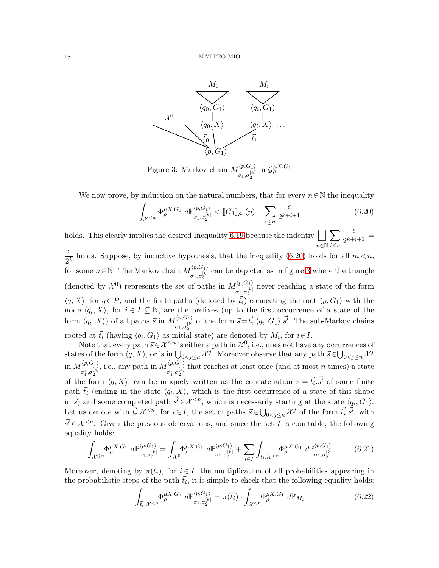

<span id="page-17-1"></span>Figure 3: Markov chain  $M^{\langle p, G_1 \rangle}_{[k]}$  $\sigma_1,\sigma_2^{[k]}$ in  $\mathcal{G}_{\rho}^{\mu X. G_1}$ 

We now prove, by induction on the natural numbers, that for every  $n \in \mathbb{N}$  the inequality

<span id="page-17-0"></span>
$$
\int_{\mathcal{X}^{\leq n}} \Phi_{\rho}^{\mu X. G_1} d\mathbb{P}_{\sigma_1, \sigma_2^{[k]}}^{\langle p, G_1 \rangle} < [G_1]_{\rho_\gamma}(p) + \sum_{i \leq n} \frac{\epsilon}{2^{k+i+1}} \tag{6.20}
$$

holds. This clearly implies the desired Inequality [6.19](#page-16-0) because the indentiy G n∈N  $\sum$ i≤n  $\epsilon$  $\frac{c}{2^{k+i+1}} =$ 

 $\epsilon$ 2  $\frac{1}{k}$  holds. Suppose, by inductive hypothesis, that the inequality [\(6.20\)](#page-17-0) holds for all  $m < n$ , for some  $n \in \mathbb{N}$ . The Markov chain  $M^{(p, G_1)}_{[k]}$  $\sigma_1,\sigma_2^{[k]}$ can be depicted as in figure [3](#page-17-1) where the triangle (denoted by  $\mathcal{X}^0$ ) represents the set of paths in  $M^{(p,G_1)}_{[k]}$  $\sigma_1,\sigma_2^{[k]}$ never reaching a state of the form  $\langle q, X \rangle$ , for  $q \in P$ , and the finite paths (denoted by  $\vec{t}_i$ ) connecting the root  $\langle p, G_1 \rangle$  with the node  $\langle q_i, X \rangle$ , for  $i \in I \subseteq \mathbb{N}$ , are the prefixes (up to the first occurrence of a state of the form  $\langle q_i, X \rangle$  of all paths  $\vec{s}$  in  $M_{[k]}^{\langle p, G_1 \rangle}$  $\overline{\zeta}_{\sigma_1,\sigma_2^{[k]}}$  of the form  $\vec{s} = \vec{t}_i \cdot \langle q_i, G_1 \rangle \cdot \vec{s'}$ . The sub-Markov chains rooted at  $\vec{t}_i$  (having  $\langle q_i, G_1 \rangle$  as initial state) are denoted by  $M_i$ , for  $i \in I$ .

Note that every path  $\vec{s} \in \mathcal{X}^{\leq n}$  is either a path in  $\mathcal{X}^0$ , i.e., does not have any occurrences of states of the form  $\langle q, X \rangle$ , or is in  $\bigcup_{0 < j \le n} \mathcal{X}^j$ . Moreover observe that any path  $\vec{s} \in \bigcup_{0 < j \le n} \mathcal{X}^j$ in  $M_{\epsilon}^{\langle p,G_1 \rangle}$  $\sigma_1^\epsilon, \sigma_2^{[k]}$ , i.e., any path in  $M_{\text{G/N}}^{\langle p, G_1 \rangle}$  $\sigma_1^\epsilon, \sigma_2^{[k]}$ that reaches at least once (and at most  $n$  times) a state of the form  $\langle q, X \rangle$ , can be uniquely written as the concatenation  $\vec{s} = \vec{t_i} \cdot \vec{s'}$  of some finite path  $\vec{t}_i$  (ending in the state  $\langle q_i, X \rangle$ , which is the first occurrence of a state of this shape in  $\vec{s}$ ) and some completed path  $\vec{s'} \in \mathcal{X}^{< n}$ , which is necessarily starting at the state  $\langle q_i, G_1 \rangle$ . Let us denote with  $\vec{t}_i \cdot \mathcal{X}^{\leq n}$ , for  $i \in I$ , the set of paths  $\vec{s} \in \bigcup_{0 \leq j \leq n} \mathcal{X}^j$  of the form  $\vec{t}_i \cdot \vec{s'}$ , with  $\vec{s'} \in \mathcal{X}^{< n}$ . Given the previous observations, and since the set I is countable, the following equality holds:

<span id="page-17-2"></span>
$$
\int_{\mathcal{X}^{\leq n}} \Phi_{\rho}^{\mu X. G_1} d\mathbb{P}_{\sigma_1, \sigma_2^{[k]}}^{(p, G_1)} = \int_{\mathcal{X}^0} \Phi_{\rho}^{\mu X. G_1} d\mathbb{P}_{\sigma_1, \sigma_2^{[k]}}^{(p, G_1)} + \sum_{i \in I} \int_{\vec{t}_i, \mathcal{X}^{
$$

Moreover, denoting by  $\pi(\vec{t}_i)$ , for  $i \in I$ , the multiplication of all probabilities appearing in the probabilistic steps of the path  $\vec{t}_i$ , it is simple to check that the following equality holds:

<span id="page-17-3"></span>
$$
\int_{\vec{t}_i \cdot \mathcal{X}^{(6.22)
$$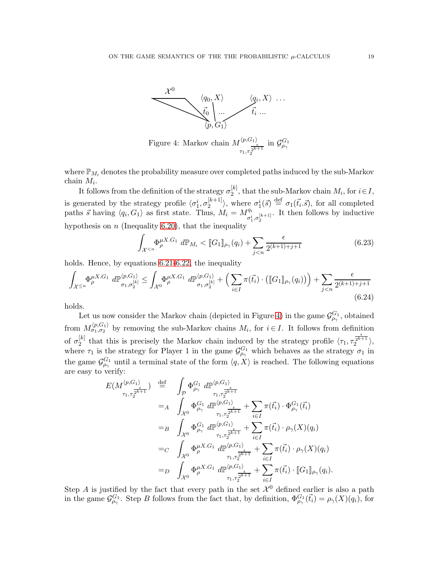<span id="page-18-0"></span>

where  $\mathbb{P}_{M_i}$  denotes the probability measure over completed paths induced by the sub-Markov chain  $M_i$ .

It follows from the definition of the strategy  $\sigma_2^{[k]}$ , that the sub-Markov chain  $M_i$ , for  $i \in I$ , 2 is generated by the strategy profile  $\langle \sigma_1^i, \sigma_2^{[k+1]} \rangle$  $\binom{[k+1]}{2}$ , where  $\sigma_1^i(\vec{s}) \stackrel{\text{def}}{=} \sigma_1(\vec{t}_i \cdot \vec{s})$ , for all completed paths  $\vec{s}$  having  $\langle q_i, G_1 \rangle$  as first state. Thus,  $M_i = M_{\sigma_1^i, \sigma_2^{[k+1]}}^{\sigma_i^i}$ . It then follows by inductive hypothesis on  $n$  (Inequality [6.20\)](#page-17-0), that the inequality

$$
\int_{\mathcal{X}^{
$$

holds. Hence, by equations [6.21-](#page-17-2)[6.22,](#page-17-3) the inequality

<span id="page-18-1"></span>
$$
\int_{\mathcal{X}^{\leq n}} \Phi_{\rho}^{\mu X. G_1} d\mathbb{P}_{\sigma_1, \sigma_2^{[k]}}^{\langle p, G_1 \rangle} \leq \int_{\mathcal{X}^0} \Phi_{\rho}^{\mu X. G_1} d\mathbb{P}_{\sigma_1, \sigma_2^{[k]}}^{\langle p, G_1 \rangle} + \left( \sum_{i \in I} \pi(\vec{t}_i) \cdot \left( [G_1]_{\rho_\gamma}(q_i) \right) \right) + \sum_{j < n} \frac{\epsilon}{2^{(k+1)+j+1}} \tag{6.24}
$$

holds.

Let us now consider the Markov chain (depicted in Figure [4\)](#page-18-0) in the game  $\mathcal{G}^{G_1}_{\rho_\gamma}$ , obtained from  $M_{\sigma_1,\sigma_2}^{(p,G_1)}$  by removing the sub-Markov chains  $M_i$ , for  $i \in I$ . It follows from definition of  $\sigma_2^{[k]}$ <sup>[k]</sup> that this is precisely the Markov chain induced by the strategy profile  $\langle \tau_1, \tau_2^{\frac{\epsilon}{2^{k+1}}}\rangle$ , where  $\tau_1$  is the strategy for Player 1 in the game  $\mathcal{G}^{G_1}_{\rho_\gamma}$  which behaves as the strategy  $\sigma_1$  in the game  $\mathcal{G}^{G_1}_{\rho_\gamma}$  until a terminal state of the form  $\langle q, X \rangle$  is reached. The following equations are easy to verify:

$$
E(M_{\tau_1, \tau_2}^{\langle p, G_1 \rangle} ) \stackrel{\text{def}}{=} \int_{\mathcal{P}} \Phi_{\rho_{\gamma}}^{G_1} d\mathbb{P}_{\rho_{\gamma}}^{\langle p, G_1 \rangle} =_{A} \int_{\mathcal{X}^0} \Phi_{\rho_{\gamma}}^{G_1} d\mathbb{P}_{\tau_1, \tau_2}^{\langle p, G_1 \rangle} + \sum_{i \in I} \pi(\vec{t}_i) \cdot \Phi_{\rho_{\gamma}}^{G_1}(\vec{t}_i) =_{B} \int_{\mathcal{X}^0} \Phi_{\rho_{\gamma}}^{G_1} d\mathbb{P}_{\tau_1, \tau_2}^{\langle p, G_1 \rangle} + \sum_{i \in I} \pi(\vec{t}_i) \cdot \rho_{\gamma}(X)(q_i) =_{C} \int_{\mathcal{X}^0} \Phi_{\rho}^{G_1} d\mathbb{P}_{\rho_{\gamma}}^{\langle p, G_1 \rangle} + \sum_{\tau_1, \tau_2^{k+1}} \pi(\vec{t}_i) \cdot \rho_{\gamma}(X)(q_i) =_{D} \int_{\mathcal{X}^0} \Phi_{\rho}^{\mu X. G_1} d\mathbb{P}_{\rho_{\gamma}}^{\langle p, G_1 \rangle} + \sum_{i \in I} \pi(\vec{t}_i) \cdot \rho_{\gamma}(X)(q_i) =_{D} \int_{\mathcal{X}^0} \Phi_{\rho}^{\mu X. G_1} d\mathbb{P}_{\tau_1, \tau_2^{k+1}}^{\langle p, G_1 \rangle} + \sum_{i \in I} \pi(\vec{t}_i) \cdot [G_1]_{\rho_{\gamma}}(q_i).
$$

Step A is justified by the fact that every path in the set  $\mathcal{X}^0$  defined earlier is also a path in the game  $\mathcal{G}_{\rho_\gamma}^{G_1}$ . Step B follows from the fact that, by definition,  $\Phi_{\rho_\gamma}^{G_1}(\vec{t}_i) = \rho_\gamma(X)(q_i)$ , for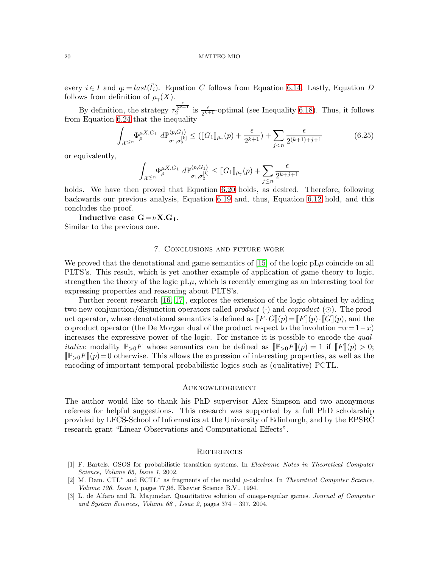every  $i \in I$  and  $q_i = last(\vec{t}_i)$ . Equation C follows from Equation [6.14.](#page-15-0) Lastly, Equation D follows from definition of  $\rho_{\gamma}(X)$ .

By definition, the strategy  $\tau_2^{\frac{\epsilon}{2^{k+1}}}$  is  $\frac{\epsilon}{2^{k+1}}$ -optimal (see Inequality [6.18\)](#page-16-1). Thus, it follows from Equation [6.24](#page-18-1) that the inequality

$$
\int_{\mathcal{X}^{\leq n}} \Phi_{\rho}^{\mu X. G_1} d\mathbb{P}_{\sigma_1, \sigma_2^{[k]}}^{\langle p, G_1 \rangle} \leq (\llbracket G_1 \rrbracket_{\rho_\gamma}(p) + \frac{\epsilon}{2^{k+1}}) + \sum_{j < n} \frac{\epsilon}{2^{(k+1)+j+1}} \tag{6.25}
$$

or equivalently,

Z X <sup>≤</sup><sup>n</sup> Φ µX.G<sup>1</sup> <sup>ρ</sup> dP hp,G1i σ1,σ [k] 2 ≤ JG1Kρ<sup>γ</sup> (p) +X j≤n ǫ 2 k+j+1

holds. We have then proved that Equation [6.20](#page-17-0) holds, as desired. Therefore, following backwards our previous analysis, Equation [6.19](#page-16-0) and, thus, Equation [6.12](#page-14-2) hold, and this concludes the proof.

Inductive case  $G = \nu X.G_1$ . Similar to the previous one.

# 7. Conclusions and future work

We proved that the denotational and game semantics of [\[15\]](#page-20-10) of the logic  $pL\mu$  coincide on all PLTS's. This result, which is yet another example of application of game theory to logic, strengthen the theory of the logic  $pL\mu$ , which is recently emerging as an interesting tool for expressing properties and reasoning about PLTS's.

Further recent research [\[16,](#page-20-19) [17\]](#page-20-20), explores the extension of the logic obtained by adding two new conjunction/disjunction operators called *product* ( $\cdot$ ) and *coproduct* ( $\odot$ ). The product operator, whose denotational semantics is defined as  $\llbracket F \cdot G \rrbracket(p) = \llbracket F \rrbracket(p) \cdot \llbracket G \rrbracket(p)$ , and the coproduct operator (the De Morgan dual of the product respect to the involution  $\neg x = 1-x$ ) increases the expressive power of the logic. For instance it is possible to encode the qual*itative* modality  $\mathbb{P}_{>0}F$  whose semantics can be defined as  $\mathbb{P}_{>0}F\mathbb{I}(p) = 1$  if  $\mathbb{F}(F\mathbb{I}(p) > 0;$  $\mathbb{P}_{\geq 0}F(x) = 0$  otherwise. This allows the expression of interesting properties, as well as the encoding of important temporal probabilistic logics such as (qualitative) PCTL.

### Acknowledgement

The author would like to thank his PhD supervisor Alex Simpson and two anonymous referees for helpful suggestions. This research was supported by a full PhD scholarship provided by LFCS-School of Informatics at the University of Edinburgh, and by the EPSRC research grant "Linear Observations and Computational Effects".

### **REFERENCES**

- <span id="page-19-1"></span>[1] F. Bartels. GSOS for probabilistic transition systems. In *Electronic Notes in Theoretical Computer Science, Volume 65, Issue 1*, 2002.
- <span id="page-19-0"></span>[2] M. Dam. CTL<sup>∗</sup> and ECTL<sup>∗</sup> as fragments of the modal µ-calculus. In *Theoretical Computer Science, Volume 126, Issue 1*, pages 77,96. Elsevier Science B.V., 1994.
- <span id="page-19-2"></span>[3] L. de Alfaro and R. Majumdar. Quantitative solution of omega-regular games. *Journal of Computer and System Sciences, Volume 68 , Issue 2*, pages 374 – 397, 2004.